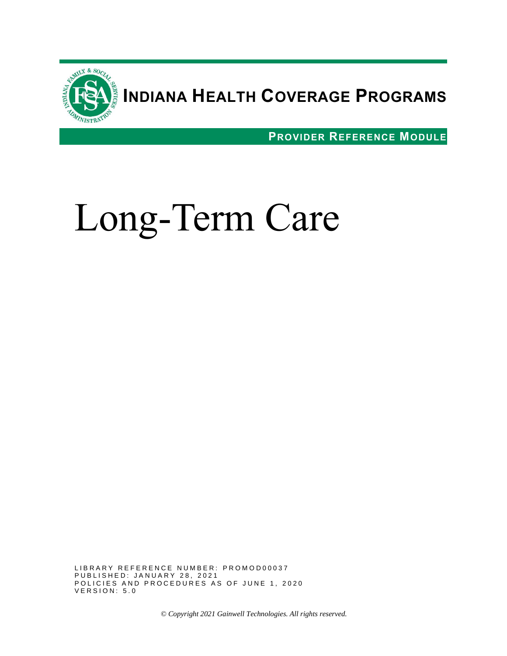

# **INDIANA HEALTH COVERAGE PROGRAMS**

**PROVIDER REFERENCE MODULE**



LIBRARY REFERENCE NUMBER: PROMOD00037 P U B L I S H E D : J A N U A R Y 28, 2021 POLICIES AND PROCEDURES AS OF JUNE 1, 2020 **VERSION: 5.0** 

*© Copyright 2021 Gainwell Technologies. All rights reserved.*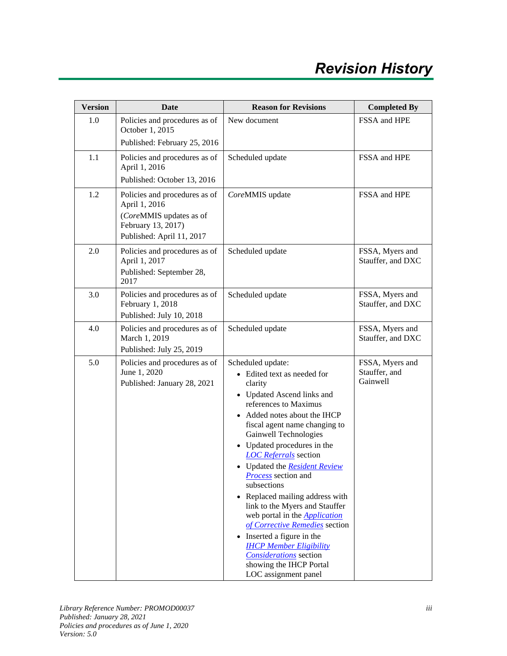| <b>Version</b> | Date                                                                                                                         | <b>Reason for Revisions</b>                                                                                                                                                                                                                                                                                                                                                                                                                                                                                                                                                                                                                                                               | <b>Completed By</b>                          |
|----------------|------------------------------------------------------------------------------------------------------------------------------|-------------------------------------------------------------------------------------------------------------------------------------------------------------------------------------------------------------------------------------------------------------------------------------------------------------------------------------------------------------------------------------------------------------------------------------------------------------------------------------------------------------------------------------------------------------------------------------------------------------------------------------------------------------------------------------------|----------------------------------------------|
| 1.0            | Policies and procedures as of<br>October 1, 2015<br>Published: February 25, 2016                                             | New document                                                                                                                                                                                                                                                                                                                                                                                                                                                                                                                                                                                                                                                                              | FSSA and HPE                                 |
| 1.1            | Policies and procedures as of<br>April 1, 2016<br>Published: October 13, 2016                                                | Scheduled update                                                                                                                                                                                                                                                                                                                                                                                                                                                                                                                                                                                                                                                                          | FSSA and HPE                                 |
| 1.2            | Policies and procedures as of<br>April 1, 2016<br>(CoreMMIS updates as of<br>February 13, 2017)<br>Published: April 11, 2017 | CoreMMIS update                                                                                                                                                                                                                                                                                                                                                                                                                                                                                                                                                                                                                                                                           | FSSA and HPE                                 |
| 2.0            | Policies and procedures as of<br>April 1, 2017<br>Published: September 28,<br>2017                                           | Scheduled update                                                                                                                                                                                                                                                                                                                                                                                                                                                                                                                                                                                                                                                                          | FSSA, Myers and<br>Stauffer, and DXC         |
| 3.0            | Policies and procedures as of<br>February 1, 2018<br>Published: July 10, 2018                                                | Scheduled update                                                                                                                                                                                                                                                                                                                                                                                                                                                                                                                                                                                                                                                                          | FSSA, Myers and<br>Stauffer, and DXC         |
| 4.0            | Policies and procedures as of<br>March 1, 2019<br>Published: July 25, 2019                                                   | Scheduled update                                                                                                                                                                                                                                                                                                                                                                                                                                                                                                                                                                                                                                                                          | FSSA, Myers and<br>Stauffer, and DXC         |
| 5.0            | Policies and procedures as of<br>June 1, 2020<br>Published: January 28, 2021                                                 | Scheduled update:<br>• Edited text as needed for<br>clarity<br>• Updated Ascend links and<br>references to Maximus<br>Added notes about the IHCP<br>$\bullet$<br>fiscal agent name changing to<br>Gainwell Technologies<br>• Updated procedures in the<br><b>LOC</b> Referrals section<br>• Updated the <b>Resident Review</b><br><b>Process</b> section and<br>subsections<br>Replaced mailing address with<br>$\bullet$<br>link to the Myers and Stauffer<br>web portal in the <b>Application</b><br>of Corrective Remedies section<br>• Inserted a figure in the<br><b>IHCP Member Eligibility</b><br><b>Considerations</b> section<br>showing the IHCP Portal<br>LOC assignment panel | FSSA, Myers and<br>Stauffer, and<br>Gainwell |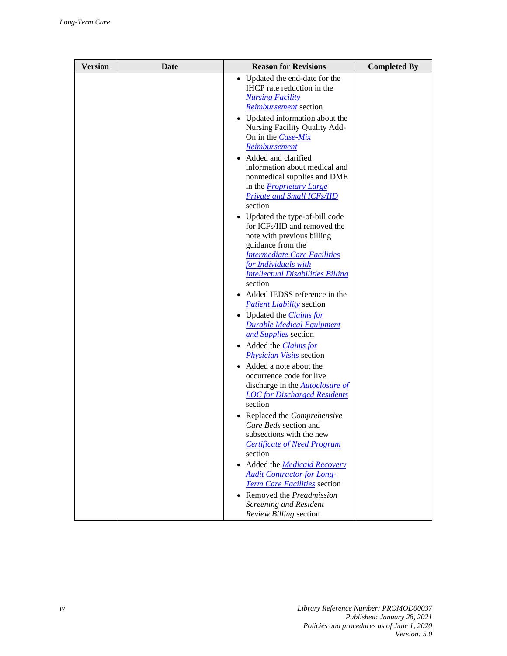| <b>Version</b> | Date | <b>Reason for Revisions</b>                                                                                                                                                                                                                                                                                                                                                                                                                                                                                                                                                                                                                                                                                                                                                                                                                       | <b>Completed By</b> |
|----------------|------|---------------------------------------------------------------------------------------------------------------------------------------------------------------------------------------------------------------------------------------------------------------------------------------------------------------------------------------------------------------------------------------------------------------------------------------------------------------------------------------------------------------------------------------------------------------------------------------------------------------------------------------------------------------------------------------------------------------------------------------------------------------------------------------------------------------------------------------------------|---------------------|
|                |      | Updated the end-date for the<br>$\bullet$<br>IHCP rate reduction in the<br><b>Nursing Facility</b><br><i>Reimbursement</i> section<br>• Updated information about the<br>Nursing Facility Quality Add-<br>On in the <i>Case-Mix</i><br>Reimbursement<br>• Added and clarified<br>information about medical and<br>nonmedical supplies and DME<br>in the <i>Proprietary Large</i><br><b>Private and Small ICFs/IID</b><br>section<br>• Updated the type-of-bill code<br>for ICFs/IID and removed the<br>note with previous billing<br>guidance from the<br><b>Intermediate Care Facilities</b><br>for Individuals with<br><b>Intellectual Disabilities Billing</b><br>section<br>• Added IEDSS reference in the<br><b>Patient Liability</b> section<br>• Updated the <i>Claims for</i><br><b>Durable Medical Equipment</b><br>and Supplies section |                     |
|                |      | • Added the <i>Claims for</i><br><b>Physician Visits</b> section<br>Added a note about the<br>occurrence code for live<br>discharge in the <b>Autoclosure of</b>                                                                                                                                                                                                                                                                                                                                                                                                                                                                                                                                                                                                                                                                                  |                     |
|                |      | <b>LOC</b> for Discharged Residents<br>section<br>Replaced the Comprehensive<br>Care Beds section and<br>subsections with the new<br><b>Certificate of Need Program</b>                                                                                                                                                                                                                                                                                                                                                                                                                                                                                                                                                                                                                                                                           |                     |
|                |      | section<br>Added the <i>Medicaid Recovery</i><br><b>Audit Contractor for Long-</b><br>Term Care Facilities section<br>Removed the Preadmission<br><b>Screening and Resident</b>                                                                                                                                                                                                                                                                                                                                                                                                                                                                                                                                                                                                                                                                   |                     |
|                |      | Review Billing section                                                                                                                                                                                                                                                                                                                                                                                                                                                                                                                                                                                                                                                                                                                                                                                                                            |                     |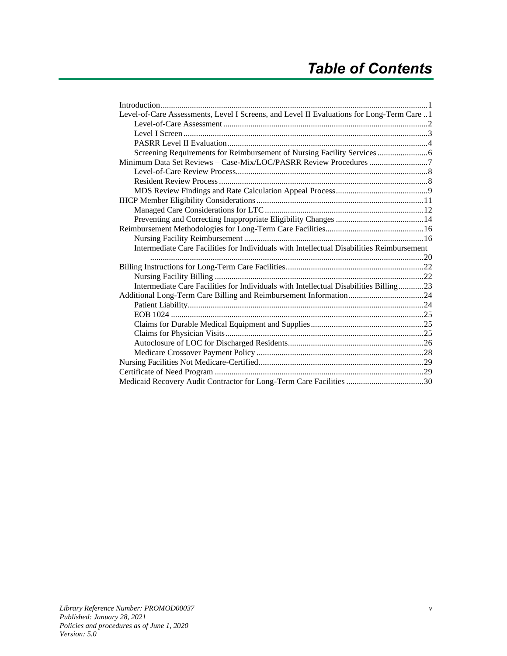| Level-of-Care Assessments, Level I Screens, and Level II Evaluations for Long-Term Care 1 |  |
|-------------------------------------------------------------------------------------------|--|
|                                                                                           |  |
|                                                                                           |  |
|                                                                                           |  |
|                                                                                           |  |
|                                                                                           |  |
|                                                                                           |  |
|                                                                                           |  |
|                                                                                           |  |
|                                                                                           |  |
|                                                                                           |  |
|                                                                                           |  |
|                                                                                           |  |
|                                                                                           |  |
| Intermediate Care Facilities for Individuals with Intellectual Disabilities Reimbursement |  |
|                                                                                           |  |
|                                                                                           |  |
|                                                                                           |  |
| Intermediate Care Facilities for Individuals with Intellectual Disabilities Billing23     |  |
|                                                                                           |  |
|                                                                                           |  |
|                                                                                           |  |
|                                                                                           |  |
|                                                                                           |  |
|                                                                                           |  |
|                                                                                           |  |
|                                                                                           |  |
|                                                                                           |  |
|                                                                                           |  |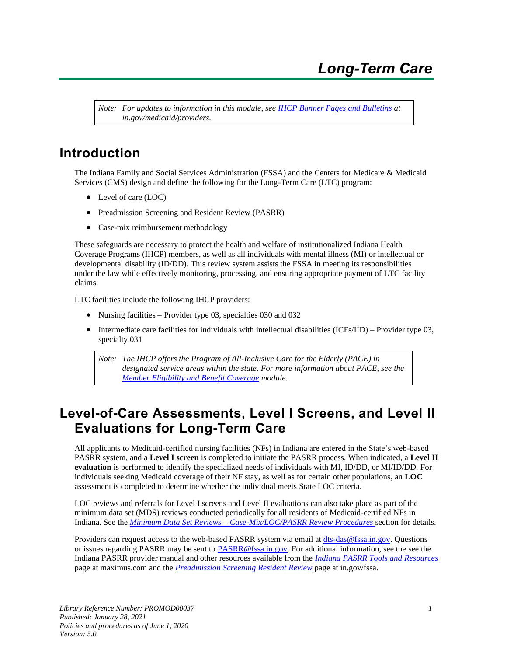*Note: For updates to information in this module, see IHCP [Banner Pages and Bulletins](https://www.in.gov/medicaid/providers/737.htm) at in.gov/medicaid/providers.*

## <span id="page-6-0"></span>**Introduction**

The Indiana Family and Social Services Administration (FSSA) and the Centers for Medicare & Medicaid Services (CMS) design and define the following for the Long-Term Care (LTC) program:

- Level of care (LOC)
- Preadmission Screening and Resident Review (PASRR)
- Case-mix reimbursement methodology

These safeguards are necessary to protect the health and welfare of institutionalized Indiana Health Coverage Programs (IHCP) members, as well as all individuals with mental illness (MI) or intellectual or developmental disability (ID/DD). This review system assists the FSSA in meeting its responsibilities under the law while effectively monitoring, processing, and ensuring appropriate payment of LTC facility claims.

LTC facilities include the following IHCP providers:

- Nursing facilities Provider type 03, specialties 030 and 032
- Intermediate care facilities for individuals with intellectual disabilities (ICFs/IID) Provider type 03, specialty 031

*Note: The IHCP offers the Program of All-Inclusive Care for the Elderly (PACE) in designated service areas within the state. For more information about PACE, see the [Member Eligibility and Benefit Coverage](https://www.in.gov/medicaid/files/member%20eligibility%20and%20benefit%20coverage.pdf) module.*

## <span id="page-6-1"></span>**Level-of-Care Assessments, Level I Screens, and Level II Evaluations for Long-Term Care**

All applicants to Medicaid-certified nursing facilities (NFs) in Indiana are entered in the State's web-based PASRR system, and a **Level I screen** is completed to initiate the PASRR process. When indicated, a **Level II evaluation** is performed to identify the specialized needs of individuals with MI, ID/DD, or MI/ID/DD. For individuals seeking Medicaid coverage of their NF stay, as well as for certain other populations, an **LOC**  assessment is completed to determine whether the individual meets State LOC criteria.

LOC reviews and referrals for Level I screens and Level II evaluations can also take place as part of the minimum data set (MDS) reviews conducted periodically for all residents of Medicaid-certified NFs in Indiana. See the *Minimum Data Set Reviews – [Case-Mix/LOC/PASRR Review Procedures](#page-12-0)* section for details.

Providers can request access to the web-based PASRR system via email at [dts-das@fssa.in.gov.](mailto:dts-das@fssa.in.gov) Questions or issues regarding PASRR may be sent to [PASRR@fssa.in.gov.](mailto:PASRR@fssa.in.gov) For additional information, see the see the Indiana PASRR provider manual and other resources available from the *[Indiana PASRR Tools and Resources](https://maximus.com/svcs/indiana)* page at maximus.com and the *[Preadmission Screening Resident Review](https://www.in.gov/fssa/da/5011.htm)* page at in.gov/fssa.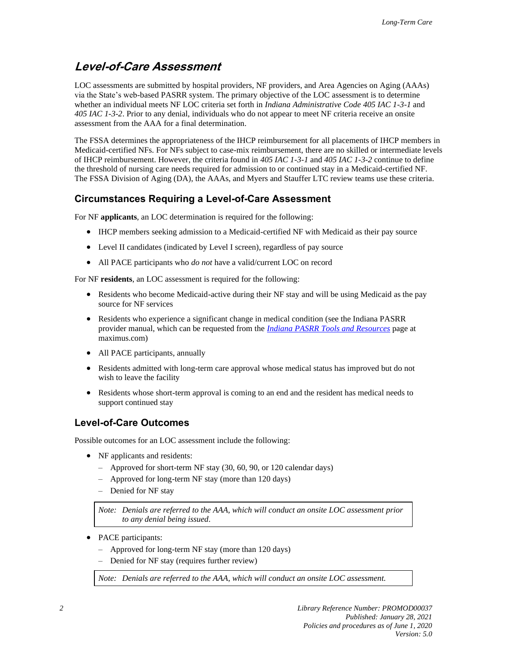## <span id="page-7-0"></span>**Level-of-Care Assessment**

LOC assessments are submitted by hospital providers, NF providers, and Area Agencies on Aging (AAAs) via the State's web-based PASRR system. The primary objective of the LOC assessment is to determine whether an individual meets NF LOC criteria set forth in *Indiana Administrative Code 405 IAC 1-3-1* and *405 IAC 1-3-2*. Prior to any denial, individuals who do not appear to meet NF criteria receive an onsite assessment from the AAA for a final determination.

The FSSA determines the appropriateness of the IHCP reimbursement for all placements of IHCP members in Medicaid-certified NFs. For NFs subject to case-mix reimbursement, there are no skilled or intermediate levels of IHCP reimbursement. However, the criteria found in *405 IAC 1-3-1* and *405 IAC 1-3-2* continue to define the threshold of nursing care needs required for admission to or continued stay in a Medicaid-certified NF. The FSSA Division of Aging (DA), the AAAs, and Myers and Stauffer LTC review teams use these criteria.

#### **Circumstances Requiring a Level-of-Care Assessment**

For NF **applicants**, an LOC determination is required for the following:

- IHCP members seeking admission to a Medicaid-certified NF with Medicaid as their pay source
- Level II candidates (indicated by Level I screen), regardless of pay source
- All PACE participants who *do not* have a valid/current LOC on record

For NF **residents**, an LOC assessment is required for the following:

- Residents who become Medicaid-active during their NF stay and will be using Medicaid as the pay source for NF services
- Residents who experience a significant change in medical condition (see the Indiana PASRR provider manual, which can be requested from the *[Indiana PASRR Tools and Resources](https://maximus.com/svcs/indiana)* page at maximus.com)
- All PACE participants, annually
- Residents admitted with long-term care approval whose medical status has improved but do not wish to leave the facility
- Residents whose short-term approval is coming to an end and the resident has medical needs to support continued stay

#### **Level-of-Care Outcomes**

Possible outcomes for an LOC assessment include the following:

- NF applicants and residents:
	- Approved for short-term NF stay (30, 60, 90, or 120 calendar days)
	- Approved for long-term NF stay (more than 120 days)
	- Denied for NF stay

*Note: Denials are referred to the AAA, which will conduct an onsite LOC assessment prior to any denial being issued.*

- PACE participants:
	- Approved for long-term NF stay (more than 120 days)
	- Denied for NF stay (requires further review)

*Note: Denials are referred to the AAA, which will conduct an onsite LOC assessment.*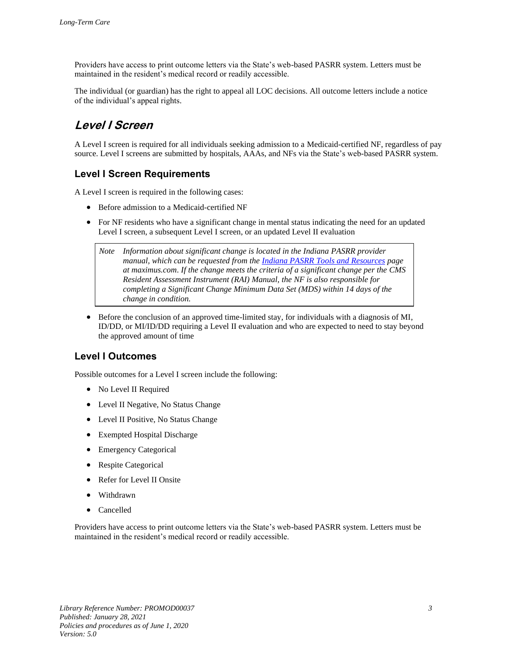Providers have access to print outcome letters via the State's web-based PASRR system. Letters must be maintained in the resident's medical record or readily accessible.

The individual (or guardian) has the right to appeal all LOC decisions. All outcome letters include a notice of the individual's appeal rights.

## <span id="page-8-0"></span>**Level I Screen**

A Level I screen is required for all individuals seeking admission to a Medicaid-certified NF, regardless of pay source. Level I screens are submitted by hospitals, AAAs, and NFs via the State's web-based PASRR system.

#### **Level I Screen Requirements**

A Level I screen is required in the following cases:

- Before admission to a Medicaid-certified NF
- For NF residents who have a significant change in mental status indicating the need for an updated Level I screen, a subsequent Level I screen, or an updated Level II evaluation

*Note Information about significant change is located in the Indiana PASRR provider manual, which can be requested from the [Indiana PASRR Tools and Resources](https://maximus.com/svcs/indiana) page at maximus.com*. *If the change meets the criteria of a significant change per the CMS Resident Assessment Instrument (RAI) Manual, the NF is also responsible for completing a Significant Change Minimum Data Set (MDS) within 14 days of the change in condition.*

• Before the conclusion of an approved time-limited stay, for individuals with a diagnosis of MI, ID/DD, or MI/ID/DD requiring a Level II evaluation and who are expected to need to stay beyond the approved amount of time

#### **Level I Outcomes**

Possible outcomes for a Level I screen include the following:

- No Level II Required
- Level II Negative, No Status Change
- Level II Positive, No Status Change
- Exempted Hospital Discharge
- Emergency Categorical
- Respite Categorical
- Refer for Level II Onsite
- Withdrawn
- **Cancelled**

Providers have access to print outcome letters via the State's web-based PASRR system. Letters must be maintained in the resident's medical record or readily accessible.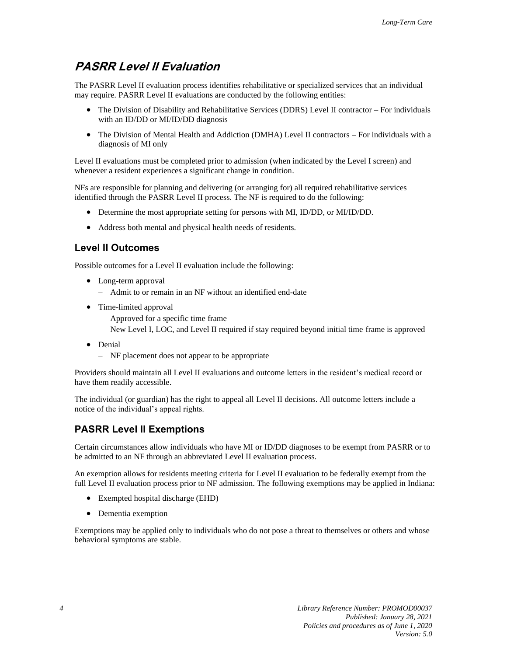### <span id="page-9-0"></span>**PASRR Level II Evaluation**

The PASRR Level II evaluation process identifies rehabilitative or specialized services that an individual may require. PASRR Level II evaluations are conducted by the following entities:

- The Division of Disability and Rehabilitative Services (DDRS) Level II contractor For individuals with an ID/DD or MI/ID/DD diagnosis
- The Division of Mental Health and Addiction (DMHA) Level II contractors For individuals with a diagnosis of MI only

Level II evaluations must be completed prior to admission (when indicated by the Level I screen) and whenever a resident experiences a significant change in condition.

NFs are responsible for planning and delivering (or arranging for) all required rehabilitative services identified through the PASRR Level II process. The NF is required to do the following:

- Determine the most appropriate setting for persons with MI, ID/DD, or MI/ID/DD.
- Address both mental and physical health needs of residents.

#### **Level II Outcomes**

Possible outcomes for a Level II evaluation include the following:

- Long-term approval
	- Admit to or remain in an NF without an identified end-date
- Time-limited approval
	- Approved for a specific time frame
	- New Level I, LOC, and Level II required if stay required beyond initial time frame is approved
- Denial
	- NF placement does not appear to be appropriate

Providers should maintain all Level II evaluations and outcome letters in the resident's medical record or have them readily accessible.

The individual (or guardian) has the right to appeal all Level II decisions. All outcome letters include a notice of the individual's appeal rights.

#### **PASRR Level II Exemptions**

Certain circumstances allow individuals who have MI or ID/DD diagnoses to be exempt from PASRR or to be admitted to an NF through an abbreviated Level II evaluation process.

An exemption allows for residents meeting criteria for Level II evaluation to be federally exempt from the full Level II evaluation process prior to NF admission. The following exemptions may be applied in Indiana:

- Exempted hospital discharge (EHD)
- Dementia exemption

Exemptions may be applied only to individuals who do not pose a threat to themselves or others and whose behavioral symptoms are stable.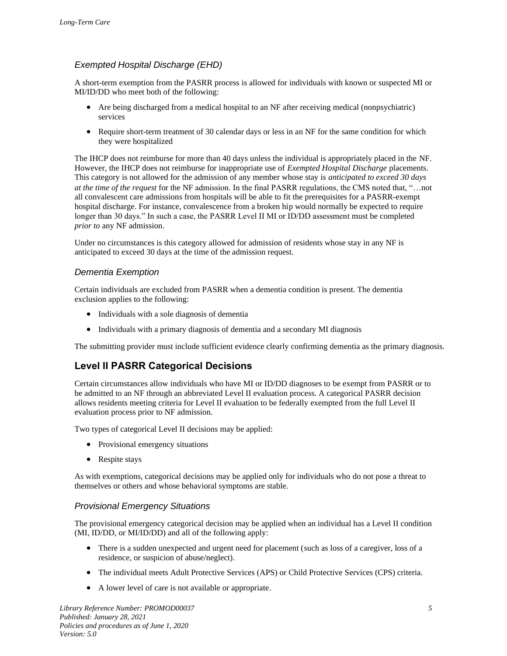#### *Exempted Hospital Discharge (EHD)*

A short-term exemption from the PASRR process is allowed for individuals with known or suspected MI or MI/ID/DD who meet both of the following:

- Are being discharged from a medical hospital to an NF after receiving medical (nonpsychiatric) services
- Require short-term treatment of 30 calendar days or less in an NF for the same condition for which they were hospitalized

The IHCP does not reimburse for more than 40 days unless the individual is appropriately placed in the NF. However, the IHCP does not reimburse for inappropriate use of *Exempted Hospital Discharge* placements. This category is not allowed for the admission of any member whose stay is *anticipated to exceed 30 days at the time of the request* for the NF admission. In the final PASRR regulations, the CMS noted that, "...not all convalescent care admissions from hospitals will be able to fit the prerequisites for a PASRR-exempt hospital discharge. For instance, convalescence from a broken hip would normally be expected to require longer than 30 days." In such a case, the PASRR Level II MI or ID/DD assessment must be completed *prior to* any NF admission.

Under no circumstances is this category allowed for admission of residents whose stay in any NF is anticipated to exceed 30 days at the time of the admission request.

#### *Dementia Exemption*

Certain individuals are excluded from PASRR when a dementia condition is present. The dementia exclusion applies to the following:

- Individuals with a sole diagnosis of dementia
- Individuals with a primary diagnosis of dementia and a secondary MI diagnosis

The submitting provider must include sufficient evidence clearly confirming dementia as the primary diagnosis.

#### **Level II PASRR Categorical Decisions**

Certain circumstances allow individuals who have MI or ID/DD diagnoses to be exempt from PASRR or to be admitted to an NF through an abbreviated Level II evaluation process. A categorical PASRR decision allows residents meeting criteria for Level II evaluation to be federally exempted from the full Level II evaluation process prior to NF admission.

Two types of categorical Level II decisions may be applied:

- Provisional emergency situations
- Respite stays

As with exemptions, categorical decisions may be applied only for individuals who do not pose a threat to themselves or others and whose behavioral symptoms are stable.

#### *Provisional Emergency Situations*

The provisional emergency categorical decision may be applied when an individual has a Level II condition (MI, ID/DD, or MI/ID/DD) and all of the following apply:

- There is a sudden unexpected and urgent need for placement (such as loss of a caregiver, loss of a residence, or suspicion of abuse/neglect).
- The individual meets Adult Protective Services (APS) or Child Protective Services (CPS) criteria.
- A lower level of care is not available or appropriate.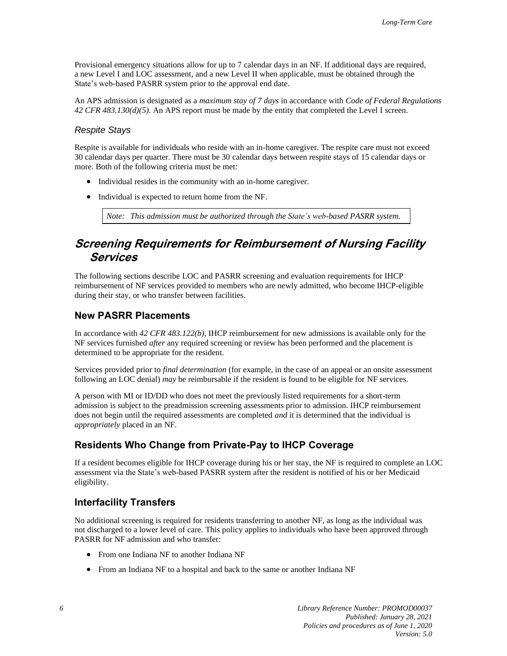Provisional emergency situations allow for up to 7 calendar days in an NF. If additional days are required, a new Level I and LOC assessment, and a new Level II when applicable, must be obtained through the State's web-based PASRR system prior to the approval end date.

An APS admission is designated as a *maximum stay of 7 days* in accordance with *Code of Federal Regulations 42 CFR 483.130(d)(5)*. An APS report must be made by the entity that completed the Level I screen.

#### *Respite Stays*

Respite is available for individuals who reside with an in-home caregiver. The respite care must not exceed 30 calendar days per quarter. There must be 30 calendar days between respite stays of 15 calendar days or more. Both of the following criteria must be met:

- Individual resides in the community with an in-home caregiver.
- Individual is expected to return home from the NF.

*Note: This admission must be authorized through the State's web-based PASRR system.* 

### <span id="page-11-0"></span>**Screening Requirements for Reimbursement of Nursing Facility Services**

The following sections describe LOC and PASRR screening and evaluation requirements for IHCP reimbursement of NF services provided to members who are newly admitted, who become IHCP-eligible during their stay, or who transfer between facilities.

#### **New PASRR Placements**

In accordance with *42 CFR 483.122(b)*, IHCP reimbursement for new admissions is available only for the NF services furnished *after* any required screening or review has been performed and the placement is determined to be appropriate for the resident.

Services provided prior to *final determination* (for example, in the case of an appeal or an onsite assessment following an LOC denial) *may* be reimbursable if the resident is found to be eligible for NF services.

A person with MI or ID/DD who does not meet the previously listed requirements for a short-term admission is subject to the preadmission screening assessments prior to admission. IHCP reimbursement does not begin until the required assessments are completed *and* it is determined that the individual is *appropriately* placed in an NF.

#### **Residents Who Change from Private-Pay to IHCP Coverage**

If a resident becomes eligible for IHCP coverage during his or her stay, the NF is required to complete an LOC assessment via the State's web-based PASRR system after the resident is notified of his or her Medicaid eligibility.

#### **Interfacility Transfers**

No additional screening is required for residents transferring to another NF, as long as the individual was not discharged to a lower level of care. This policy applies to individuals who have been approved through PASRR for NF admission and who transfer:

- From one Indiana NF to another Indiana NF
- From an Indiana NF to a hospital and back to the same or another Indiana NF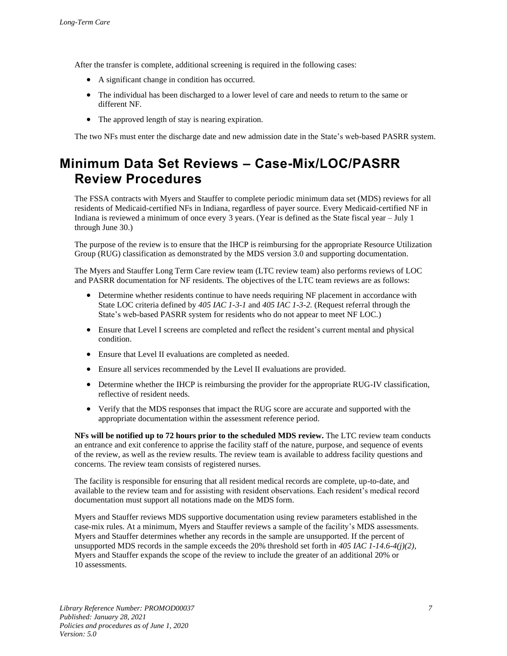After the transfer is complete, additional screening is required in the following cases:

- A significant change in condition has occurred.
- The individual has been discharged to a lower level of care and needs to return to the same or different NF.
- The approved length of stay is nearing expiration.

The two NFs must enter the discharge date and new admission date in the State's web-based PASRR system.

## <span id="page-12-0"></span>**Minimum Data Set Reviews – Case-Mix/LOC/PASRR Review Procedures**

The FSSA contracts with Myers and Stauffer to complete periodic minimum data set (MDS) reviews for all residents of Medicaid-certified NFs in Indiana, regardless of payer source. Every Medicaid-certified NF in Indiana is reviewed a minimum of once every 3 years. (Year is defined as the State fiscal year – July 1 through June 30.)

The purpose of the review is to ensure that the IHCP is reimbursing for the appropriate Resource Utilization Group (RUG) classification as demonstrated by the MDS version 3.0 and supporting documentation.

The Myers and Stauffer Long Term Care review team (LTC review team) also performs reviews of LOC and PASRR documentation for NF residents. The objectives of the LTC team reviews are as follows:

- Determine whether residents continue to have needs requiring NF placement in accordance with State LOC criteria defined by *405 IAC 1-3-1* and *405 IAC 1-3-2.* (Request referral through the State's web-based PASRR system for residents who do not appear to meet NF LOC.)
- Ensure that Level I screens are completed and reflect the resident's current mental and physical condition.
- Ensure that Level II evaluations are completed as needed.
- Ensure all services recommended by the Level II evaluations are provided.
- Determine whether the IHCP is reimbursing the provider for the appropriate RUG-IV classification, reflective of resident needs.
- Verify that the MDS responses that impact the RUG score are accurate and supported with the appropriate documentation within the assessment reference period.

**NFs will be notified up to 72 hours prior to the scheduled MDS review.** The LTC review team conducts an entrance and exit conference to apprise the facility staff of the nature, purpose, and sequence of events of the review, as well as the review results. The review team is available to address facility questions and concerns. The review team consists of registered nurses.

The facility is responsible for ensuring that all resident medical records are complete, up-to-date, and available to the review team and for assisting with resident observations. Each resident's medical record documentation must support all notations made on the MDS form.

Myers and Stauffer reviews MDS supportive documentation using review parameters established in the case-mix rules. At a minimum, Myers and Stauffer reviews a sample of the facility's MDS assessments. Myers and Stauffer determines whether any records in the sample are unsupported. If the percent of unsupported MDS records in the sample exceeds the 20% threshold set forth in *405 IAC 1-14.6-4(j)(2)*, Myers and Stauffer expands the scope of the review to include the greater of an additional 20% or 10 assessments.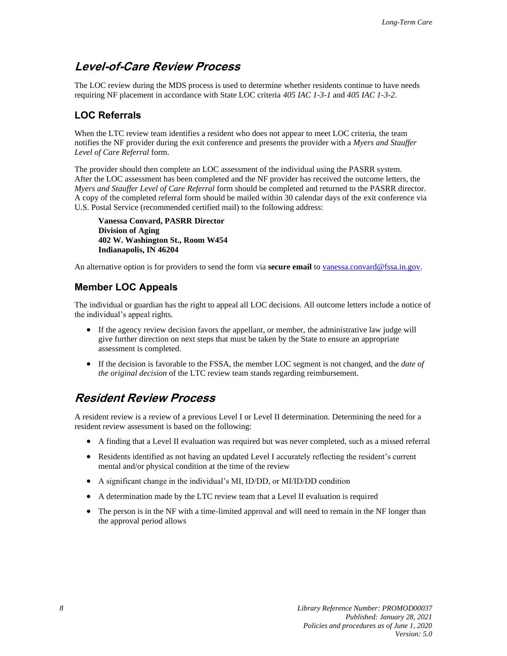### <span id="page-13-2"></span>**Level-of-Care Review Process**

The LOC review during the MDS process is used to determine whether residents continue to have needs requiring NF placement in accordance with State LOC criteria *405 IAC 1-3-1* and *405 IAC 1-3-2*.

#### <span id="page-13-0"></span>**LOC Referrals**

When the LTC review team identifies a resident who does not appear to meet LOC criteria, the team notifies the NF provider during the exit conference and presents the provider with a *Myers and Stauffer Level of Care Referral* form.

The provider should then complete an LOC assessment of the individual using the PASRR system. After the LOC assessment has been completed and the NF provider has received the outcome letters, the *Myers and Stauffer Level of Care Referral* form should be completed and returned to the PASRR director. A copy of the completed referral form should be mailed within 30 calendar days of the exit conference via U.S. Postal Service (recommended certified mail) to the following address:

**Vanessa Convard, PASRR Director Division of Aging 402 W. Washington St., Room W454 Indianapolis, IN 46204**

An alternative option is for providers to send the form via **secure email** t[o vanessa.convard@fssa.in.gov.](mailto:vanessa.convard@fssa.in.gov)

#### **Member LOC Appeals**

The individual or guardian has the right to appeal all LOC decisions. All outcome letters include a notice of the individual's appeal rights.

- If the agency review decision favors the appellant, or member, the administrative law judge will give further direction on next steps that must be taken by the State to ensure an appropriate assessment is completed.
- If the decision is favorable to the FSSA, the member LOC segment is not changed, and the *date of the original decision* of the LTC review team stands regarding reimbursement.

### <span id="page-13-1"></span>**Resident Review Process**

A resident review is a review of a previous Level I or Level II determination. Determining the need for a resident review assessment is based on the following:

- A finding that a Level II evaluation was required but was never completed, such as a missed referral
- Residents identified as not having an updated Level I accurately reflecting the resident's current mental and/or physical condition at the time of the review
- A significant change in the individual's MI, ID/DD, or MI/ID/DD condition
- A determination made by the LTC review team that a Level II evaluation is required
- The person is in the NF with a time-limited approval and will need to remain in the NF longer than the approval period allows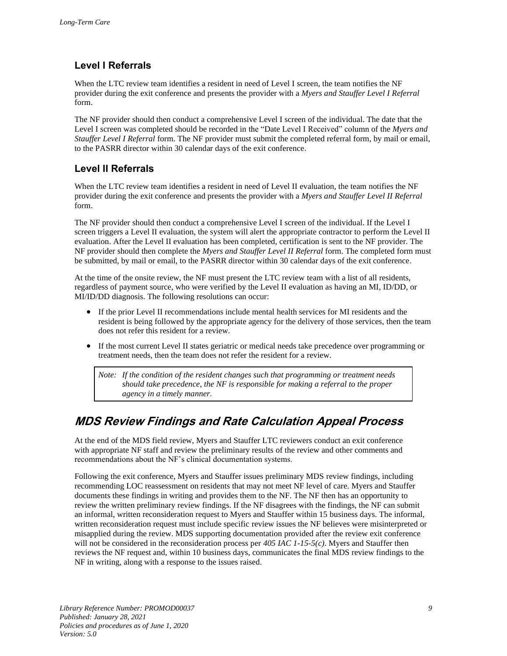### **Level I Referrals**

When the LTC review team identifies a resident in need of Level I screen, the team notifies the NF provider during the exit conference and presents the provider with a *Myers and Stauffer Level I Referral* form.

The NF provider should then conduct a comprehensive Level I screen of the individual. The date that the Level I screen was completed should be recorded in the "Date Level I Received" column of the *Myers and Stauffer Level I Referral* form. The NF provider must submit the completed referral form, by mail or email, to the PASRR director within 30 calendar days of the exit conference.

### **Level II Referrals**

When the LTC review team identifies a resident in need of Level II evaluation, the team notifies the NF provider during the exit conference and presents the provider with a *Myers and Stauffer Level II Referral* form.

The NF provider should then conduct a comprehensive Level I screen of the individual. If the Level I screen triggers a Level II evaluation, the system will alert the appropriate contractor to perform the Level II evaluation. After the Level II evaluation has been completed, certification is sent to the NF provider. The NF provider should then complete the *Myers and Stauffer Level II Referral* form. The completed form must be submitted, by mail or email, to the PASRR director within 30 calendar days of the exit conference.

At the time of the onsite review, the NF must present the LTC review team with a list of all residents, regardless of payment source, who were verified by the Level II evaluation as having an MI, ID/DD, or MI/ID/DD diagnosis. The following resolutions can occur:

- If the prior Level II recommendations include mental health services for MI residents and the resident is being followed by the appropriate agency for the delivery of those services, then the team does not refer this resident for a review.
- If the most current Level II states geriatric or medical needs take precedence over programming or treatment needs, then the team does not refer the resident for a review.

*Note: If the condition of the resident changes such that programming or treatment needs should take precedence, the NF is responsible for making a referral to the proper agency in a timely manner.*

## <span id="page-14-0"></span>**MDS Review Findings and Rate Calculation Appeal Process**

At the end of the MDS field review, Myers and Stauffer LTC reviewers conduct an exit conference with appropriate NF staff and review the preliminary results of the review and other comments and recommendations about the NF's clinical documentation systems.

Following the exit conference, Myers and Stauffer issues preliminary MDS review findings, including recommending LOC reassessment on residents that may not meet NF level of care. Myers and Stauffer documents these findings in writing and provides them to the NF. The NF then has an opportunity to review the written preliminary review findings. If the NF disagrees with the findings, the NF can submit an informal, written reconsideration request to Myers and Stauffer within 15 business days. The informal, written reconsideration request must include specific review issues the NF believes were misinterpreted or misapplied during the review. MDS supporting documentation provided after the review exit conference will not be considered in the reconsideration process per *405 IAC 1-15-5(c)*. Myers and Stauffer then reviews the NF request and, within 10 business days, communicates the final MDS review findings to the NF in writing, along with a response to the issues raised.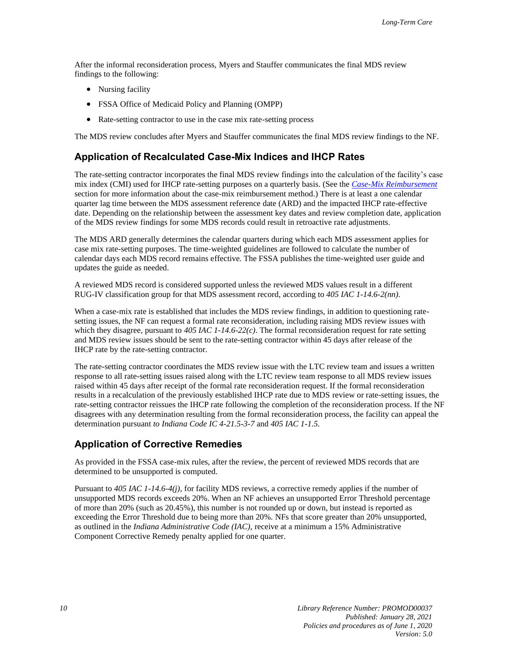After the informal reconsideration process, Myers and Stauffer communicates the final MDS review findings to the following:

- Nursing facility
- FSSA Office of Medicaid Policy and Planning (OMPP)
- Rate-setting contractor to use in the case mix rate-setting process

The MDS review concludes after Myers and Stauffer communicates the final MDS review findings to the NF.

#### **Application of Recalculated Case-Mix Indices and IHCP Rates**

The rate-setting contractor incorporates the final MDS review findings into the calculation of the facility's case mix index (CMI) used for IHCP rate-setting purposes on a quarterly basis. (See the *[Case-Mix Reimbursement](#page-21-1)* section for more information about the case-mix reimbursement method.) There is at least a one calendar quarter lag time between the MDS assessment reference date (ARD) and the impacted IHCP rate-effective date. Depending on the relationship between the assessment key dates and review completion date, application of the MDS review findings for some MDS records could result in retroactive rate adjustments.

The MDS ARD generally determines the calendar quarters during which each MDS assessment applies for case mix rate-setting purposes. The time-weighted guidelines are followed to calculate the number of calendar days each MDS record remains effective. The FSSA publishes the time-weighted user guide and updates the guide as needed.

A reviewed MDS record is considered supported unless the reviewed MDS values result in a different RUG-IV classification group for that MDS assessment record, according to *405 IAC 1-14.6-2(nn)*.

When a case-mix rate is established that includes the MDS review findings, in addition to questioning ratesetting issues, the NF can request a formal rate reconsideration, including raising MDS review issues with which they disagree, pursuant to *405 IAC 1-14.6-22(c)*. The formal reconsideration request for rate setting and MDS review issues should be sent to the rate-setting contractor within 45 days after release of the IHCP rate by the rate-setting contractor.

The rate-setting contractor coordinates the MDS review issue with the LTC review team and issues a written response to all rate-setting issues raised along with the LTC review team response to all MDS review issues raised within 45 days after receipt of the formal rate reconsideration request. If the formal reconsideration results in a recalculation of the previously established IHCP rate due to MDS review or rate-setting issues, the rate-setting contractor reissues the IHCP rate following the completion of the reconsideration process. If the NF disagrees with any determination resulting from the formal reconsideration process, the facility can appeal the determination pursuant *to Indiana Code IC 4-21.5-3-7* and *405 IAC 1-1.5.*

#### <span id="page-15-0"></span>**Application of Corrective Remedies**

As provided in the FSSA case-mix rules, after the review, the percent of reviewed MDS records that are determined to be unsupported is computed.

Pursuant to *405 IAC 1-14.6-4(j),* for facility MDS reviews, a corrective remedy applies if the number of unsupported MDS records exceeds 20%. When an NF achieves an unsupported Error Threshold percentage of more than 20% (such as 20.45%), this number is not rounded up or down, but instead is reported as exceeding the Error Threshold due to being more than 20%. NFs that score greater than 20% unsupported, as outlined in the *Indiana Administrative Code (IAC),* receive at a minimum a 15% Administrative Component Corrective Remedy penalty applied for one quarter.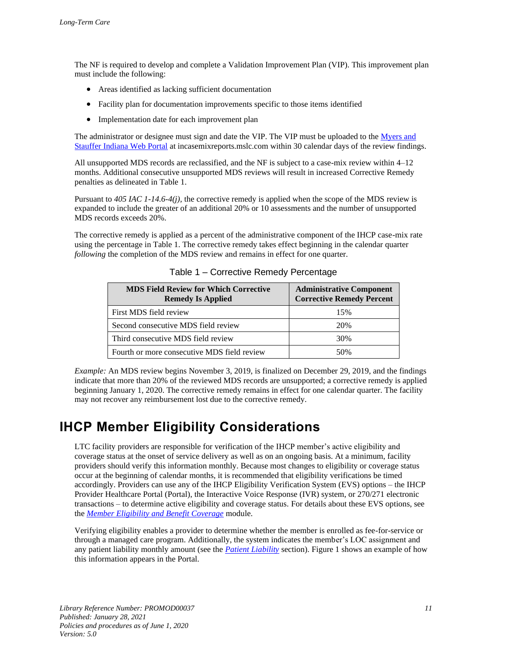The NF is required to develop and complete a Validation Improvement Plan (VIP). This improvement plan must include the following:

- Areas identified as lacking sufficient documentation
- Facility plan for documentation improvements specific to those items identified
- Implementation date for each improvement plan

The administrator or designee must sign and date the VIP. The VIP must be uploaded to the Myers and [Stauffer Indiana Web Portal](https://incasemixreports.mslc.com/) at incasemixreports.mslc.com within 30 calendar days of the review findings.

All unsupported MDS records are reclassified, and the NF is subject to a case-mix review within 4–12 months. Additional consecutive unsupported MDS reviews will result in increased Corrective Remedy penalties as delineated in Table 1.

Pursuant to *405 IAC 1-14.6-4(j),* the corrective remedy is applied when the scope of the MDS review is expanded to include the greater of an additional 20% or 10 assessments and the number of unsupported MDS records exceeds 20%.

The corrective remedy is applied as a percent of the administrative component of the IHCP case-mix rate using the percentage in Table 1. The corrective remedy takes effect beginning in the calendar quarter *following* the completion of the MDS review and remains in effect for one quarter.

| <b>MDS Field Review for Which Corrective</b><br><b>Remedy Is Applied</b> | <b>Administrative Component</b><br><b>Corrective Remedy Percent</b> |
|--------------------------------------------------------------------------|---------------------------------------------------------------------|
| First MDS field review                                                   | 15%                                                                 |
| Second consecutive MDS field review                                      | 20%                                                                 |
| Third consecutive MDS field review                                       | 30%                                                                 |
| Fourth or more consecutive MDS field review                              | 50%                                                                 |

Table 1 – Corrective Remedy Percentage

*Example:* An MDS review begins November 3, 2019, is finalized on December 29, 2019, and the findings indicate that more than 20% of the reviewed MDS records are unsupported; a corrective remedy is applied beginning January 1, 2020. The corrective remedy remains in effect for one calendar quarter. The facility may not recover any reimbursement lost due to the corrective remedy.

## <span id="page-16-0"></span>**IHCP Member Eligibility Considerations**

LTC facility providers are responsible for verification of the IHCP member's active eligibility and coverage status at the onset of service delivery as well as on an ongoing basis. At a minimum, facility providers should verify this information monthly. Because most changes to eligibility or coverage status occur at the beginning of calendar months, it is recommended that eligibility verifications be timed accordingly. Providers can use any of the IHCP Eligibility Verification System (EVS) options – the IHCP Provider Healthcare Portal (Portal), the Interactive Voice Response (IVR) system, or 270/271 electronic transactions – to determine active eligibility and coverage status. For details about these EVS options, see the *[Member Eligibility and Benefit Coverage](https://www.in.gov/medicaid/files/member%20eligibility%20and%20benefit%20coverage.pdf)* module.

Verifying eligibility enables a provider to determine whether the member is enrolled as fee-for-service or through a managed care program. Additionally, the system indicates the member's LOC assignment and any patient liability monthly amount (see the *[Patient Liability](#page-29-0)* section). Figure 1 shows an example of how this information appears in the Portal.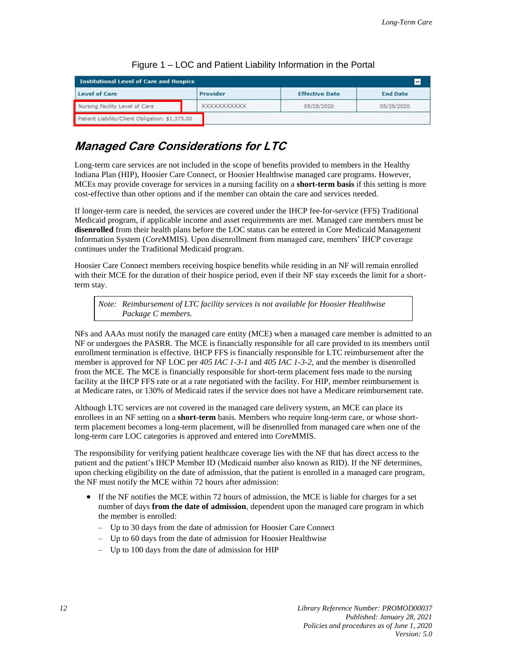| <b>Institutional Level of Care and Hospice</b><br>н |              |                       |                 |
|-----------------------------------------------------|--------------|-----------------------|-----------------|
| <b>Level of Care</b>                                | Provider     | <b>Effective Date</b> | <b>End Date</b> |
| Nursing Facility Level of Care                      | XXXXXXXXXXXX | 05/28/2020            | 05/28/2020      |
| Patient Liability/Client Obligation: \$1,375.00     |              |                       |                 |

Figure 1 – LOC and Patient Liability Information in the Portal

## <span id="page-17-0"></span>**Managed Care Considerations for LTC**

Long-term care services are not included in the scope of benefits provided to members in the Healthy Indiana Plan (HIP), Hoosier Care Connect, or Hoosier Healthwise managed care programs. However, MCEs may provide coverage for services in a nursing facility on a **short-term basis** if this setting is more cost-effective than other options and if the member can obtain the care and services needed.

If longer-term care is needed, the services are covered under the IHCP fee-for-service (FFS) Traditional Medicaid program, if applicable income and asset requirements are met. Managed care members must be **disenrolled** from their health plans before the LOC status can be entered in Core Medicaid Management Information System (*Core*MMIS). Upon disenrollment from managed care, members' IHCP coverage continues under the Traditional Medicaid program.

Hoosier Care Connect members receiving hospice benefits while residing in an NF will remain enrolled with their MCE for the duration of their hospice period, even if their NF stay exceeds the limit for a shortterm stay.

*Note: Reimbursement of LTC facility services is not available for Hoosier Healthwise Package C members.*

NFs and AAAs must notify the managed care entity (MCE) when a managed care member is admitted to an NF or undergoes the PASRR. The MCE is financially responsible for all care provided to its members until enrollment termination is effective. IHCP FFS is financially responsible for LTC reimbursement after the member is approved for NF LOC per *405 IAC 1-3-1* and *405 IAC 1-3-2,* and the member is disenrolled from the MCE*.* The MCE is financially responsible for short-term placement fees made to the nursing facility at the IHCP FFS rate or at a rate negotiated with the facility. For HIP, member reimbursement is at Medicare rates, or 130% of Medicaid rates if the service does not have a Medicare reimbursement rate.

Although LTC services are not covered in the managed care delivery system, an MCE can place its enrollees in an NF setting on a **short-term** basis. Members who require long-term care, or whose shortterm placement becomes a long-term placement, will be disenrolled from managed care when one of the long-term care LOC categories is approved and entered into *Core*MMIS.

The responsibility for verifying patient healthcare coverage lies with the NF that has direct access to the patient and the patient's IHCP Member ID (Medicaid number also known as RID). If the NF determines, upon checking eligibility on the date of admission, that the patient is enrolled in a managed care program, the NF must notify the MCE within 72 hours after admission:

- If the NF notifies the MCE within 72 hours of admission, the MCE is liable for charges for a set number of days **from the date of admission**, dependent upon the managed care program in which the member is enrolled:
	- Up to 30 days from the date of admission for Hoosier Care Connect
	- Up to 60 days from the date of admission for Hoosier Healthwise
	- Up to 100 days from the date of admission for HIP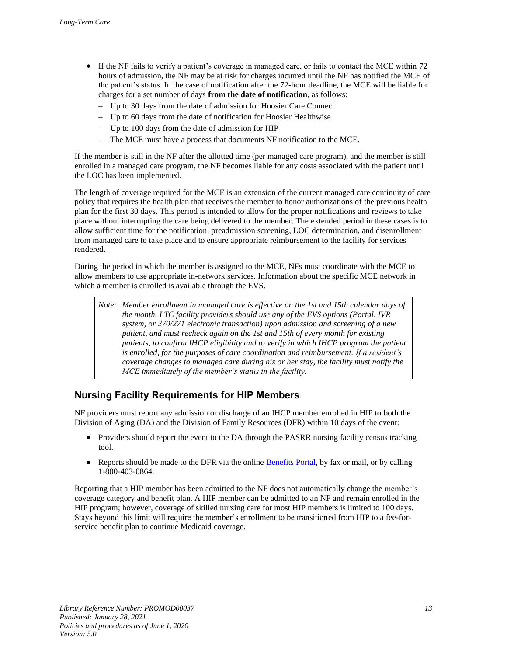- If the NF fails to verify a patient's coverage in managed care, or fails to contact the MCE within 72 hours of admission, the NF may be at risk for charges incurred until the NF has notified the MCE of the patient's status. In the case of notification after the 72-hour deadline, the MCE will be liable for charges for a set number of days **from the date of notification**, as follows:
	- Up to 30 days from the date of admission for Hoosier Care Connect
	- Up to 60 days from the date of notification for Hoosier Healthwise
	- Up to 100 days from the date of admission for HIP
	- The MCE must have a process that documents NF notification to the MCE.

If the member is still in the NF after the allotted time (per managed care program), and the member is still enrolled in a managed care program, the NF becomes liable for any costs associated with the patient until the LOC has been implemented.

The length of coverage required for the MCE is an extension of the current managed care continuity of care policy that requires the health plan that receives the member to honor authorizations of the previous health plan for the first 30 days. This period is intended to allow for the proper notifications and reviews to take place without interrupting the care being delivered to the member. The extended period in these cases is to allow sufficient time for the notification, preadmission screening, LOC determination, and disenrollment from managed care to take place and to ensure appropriate reimbursement to the facility for services rendered.

During the period in which the member is assigned to the MCE, NFs must coordinate with the MCE to allow members to use appropriate in-network services. Information about the specific MCE network in which a member is enrolled is available through the EVS.

*Note: Member enrollment in managed care is effective on the 1st and 15th calendar days of the month. LTC facility providers should use any of the EVS options (Portal, IVR system, or 270/271 electronic transaction) upon admission and screening of a new patient, and must recheck again on the 1st and 15th of every month for existing patients, to confirm IHCP eligibility and to verify in which IHCP program the patient is enrolled, for the purposes of care coordination and reimbursement. If a resident's coverage changes to managed care during his or her stay, the facility must notify the MCE immediately of the member's status in the facility.*

#### **Nursing Facility Requirements for HIP Members**

NF providers must report any admission or discharge of an IHCP member enrolled in HIP to both the Division of Aging (DA) and the Division of Family Resources (DFR) within 10 days of the event:

- Providers should report the event to the DA through the PASRR nursing facility census tracking tool.
- Reports should be made to the DFR via the online [Benefits Portal,](https://fssabenefits.in.gov/CitizenPortal/application.do) by fax or mail, or by calling 1-800-403-0864.

Reporting that a HIP member has been admitted to the NF does not automatically change the member's coverage category and benefit plan. A HIP member can be admitted to an NF and remain enrolled in the HIP program; however, coverage of skilled nursing care for most HIP members is limited to 100 days. Stays beyond this limit will require the member's enrollment to be transitioned from HIP to a fee-forservice benefit plan to continue Medicaid coverage.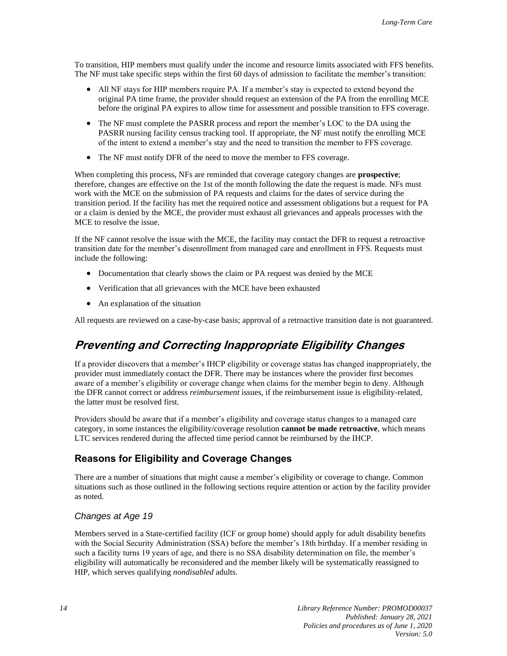To transition, HIP members must qualify under the income and resource limits associated with FFS benefits. The NF must take specific steps within the first 60 days of admission to facilitate the member's transition:

- All NF stays for HIP members require PA. If a member's stay is expected to extend beyond the original PA time frame, the provider should request an extension of the PA from the enrolling MCE before the original PA expires to allow time for assessment and possible transition to FFS coverage.
- The NF must complete the PASRR process and report the member's LOC to the DA using the PASRR nursing facility census tracking tool. If appropriate, the NF must notify the enrolling MCE of the intent to extend a member's stay and the need to transition the member to FFS coverage.
- The NF must notify DFR of the need to move the member to FFS coverage.

When completing this process, NFs are reminded that coverage category changes are **prospective**; therefore, changes are effective on the 1st of the month following the date the request is made. NFs must work with the MCE on the submission of PA requests and claims for the dates of service during the transition period. If the facility has met the required notice and assessment obligations but a request for PA or a claim is denied by the MCE, the provider must exhaust all grievances and appeals processes with the MCE to resolve the issue.

If the NF cannot resolve the issue with the MCE, the facility may contact the DFR to request a retroactive transition date for the member's disenrollment from managed care and enrollment in FFS. Requests must include the following:

- Documentation that clearly shows the claim or PA request was denied by the MCE
- Verification that all grievances with the MCE have been exhausted
- An explanation of the situation

<span id="page-19-0"></span>All requests are reviewed on a case-by-case basis; approval of a retroactive transition date is not guaranteed.

## **Preventing and Correcting Inappropriate Eligibility Changes**

If a provider discovers that a member's IHCP eligibility or coverage status has changed inappropriately, the provider must immediately contact the DFR. There may be instances where the provider first becomes aware of a member's eligibility or coverage change when claims for the member begin to deny. Although the DFR cannot correct or address *reimbursement* issues, if the reimbursement issue is eligibility-related, the latter must be resolved first.

Providers should be aware that if a member's eligibility and coverage status changes to a managed care category, in some instances the eligibility/coverage resolution **cannot be made retroactive**, which means LTC services rendered during the affected time period cannot be reimbursed by the IHCP.

#### **Reasons for Eligibility and Coverage Changes**

There are a number of situations that might cause a member's eligibility or coverage to change. Common situations such as those outlined in the following sections require attention or action by the facility provider as noted.

#### *Changes at Age 19*

Members served in a State-certified facility (ICF or group home) should apply for adult disability benefits with the Social Security Administration (SSA) before the member's 18th birthday. If a member residing in such a facility turns 19 years of age, and there is no SSA disability determination on file, the member's eligibility will automatically be reconsidered and the member likely will be systematically reassigned to HIP, which serves qualifying *nondisabled* adults.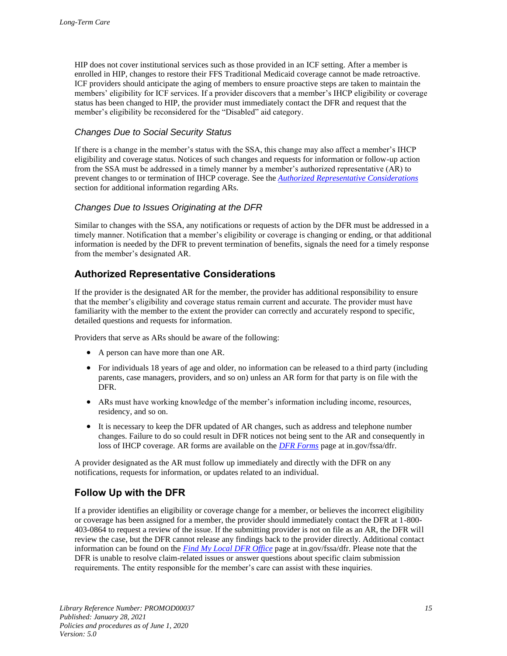HIP does not cover institutional services such as those provided in an ICF setting. After a member is enrolled in HIP, changes to restore their FFS Traditional Medicaid coverage cannot be made retroactive. ICF providers should anticipate the aging of members to ensure proactive steps are taken to maintain the members' eligibility for ICF services. If a provider discovers that a member's IHCP eligibility or coverage status has been changed to HIP, the provider must immediately contact the DFR and request that the member's eligibility be reconsidered for the "Disabled" aid category.

#### *Changes Due to Social Security Status*

If there is a change in the member's status with the SSA, this change may also affect a member's IHCP eligibility and coverage status. Notices of such changes and requests for information or follow-up action from the SSA must be addressed in a timely manner by a member's authorized representative (AR) to prevent changes to or termination of IHCP coverage. See the *[Authorized Representative Considerations](#page-20-0)* section for additional information regarding ARs.

#### *Changes Due to Issues Originating at the DFR*

Similar to changes with the SSA, any notifications or requests of action by the DFR must be addressed in a timely manner. Notification that a member's eligibility or coverage is changing or ending, or that additional information is needed by the DFR to prevent termination of benefits, signals the need for a timely response from the member's designated AR.

#### <span id="page-20-0"></span>**Authorized Representative Considerations**

If the provider is the designated AR for the member, the provider has additional responsibility to ensure that the member's eligibility and coverage status remain current and accurate. The provider must have familiarity with the member to the extent the provider can correctly and accurately respond to specific, detailed questions and requests for information.

Providers that serve as ARs should be aware of the following:

- A person can have more than one AR.
- For individuals 18 years of age and older, no information can be released to a third party (including parents, case managers, providers, and so on) unless an AR form for that party is on file with the DFR.
- ARs must have working knowledge of the member's information including income, resources, residency, and so on.
- It is necessary to keep the DFR updated of AR changes, such as address and telephone number changes. Failure to do so could result in DFR notices not being sent to the AR and consequently in loss of IHCP coverage. AR forms are available on the *[DFR Forms](http://www.in.gov/fssa/dfr/2689.htm)* page at in.gov/fssa/dfr.

A provider designated as the AR must follow up immediately and directly with the DFR on any notifications, requests for information, or updates related to an individual.

#### **Follow Up with the DFR**

If a provider identifies an eligibility or coverage change for a member, or believes the incorrect eligibility or coverage has been assigned for a member, the provider should immediately contact the DFR at 1-800- 403-0864 to request a review of the issue. If the submitting provider is not on file as an AR, the DFR will review the case, but the DFR cannot release any findings back to the provider directly. Additional contact information can be found on the *[Find My Local DFR Office](https://www.in.gov/fssa/dfr/ebt-hoosier-works-card/find-my-local-dfr-office/)* page at in.gov/fssa/dfr. Please note that the DFR is unable to resolve claim-related issues or answer questions about specific claim submission requirements. The entity responsible for the member's care can assist with these inquiries.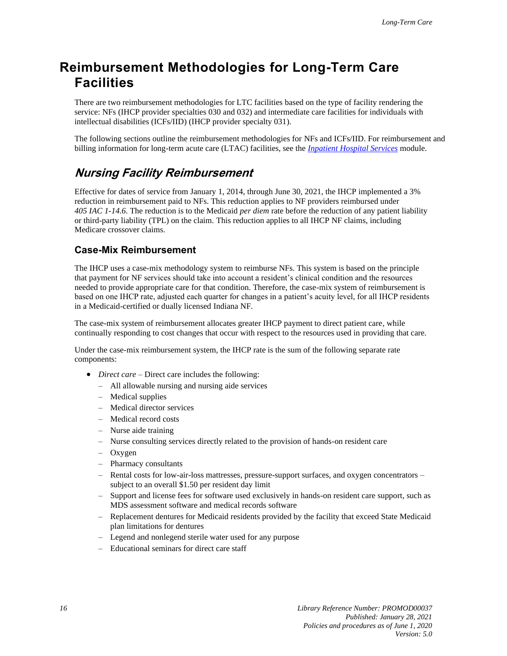## <span id="page-21-2"></span>**Reimbursement Methodologies for Long-Term Care Facilities**

There are two reimbursement methodologies for LTC facilities based on the type of facility rendering the service: NFs (IHCP provider specialties 030 and 032) and intermediate care facilities for individuals with intellectual disabilities (ICFs/IID) (IHCP provider specialty 031).

The following sections outline the reimbursement methodologies for NFs and ICFs/IID. For reimbursement and billing information for long-term acute care (LTAC) facilities, see the *Inpatient [Hospital Services](https://www.in.gov/medicaid/files/inpatient%20hospital%20services.pdf)* module.

### <span id="page-21-0"></span>**Nursing Facility Reimbursement**

Effective for dates of service from January 1, 2014, through June 30, 2021, the IHCP implemented a 3% reduction in reimbursement paid to NFs. This reduction applies to NF providers reimbursed under *405 IAC 1-14.6*. The reduction is to the Medicaid *per diem* rate before the reduction of any patient liability or third-party liability (TPL) on the claim. This reduction applies to all IHCP NF claims, including Medicare crossover claims.

#### <span id="page-21-1"></span>**Case-Mix Reimbursement**

The IHCP uses a case-mix methodology system to reimburse NFs. This system is based on the principle that payment for NF services should take into account a resident's clinical condition and the resources needed to provide appropriate care for that condition. Therefore, the case-mix system of reimbursement is based on one IHCP rate, adjusted each quarter for changes in a patient's acuity level, for all IHCP residents in a Medicaid-certified or dually licensed Indiana NF.

The case-mix system of reimbursement allocates greater IHCP payment to direct patient care, while continually responding to cost changes that occur with respect to the resources used in providing that care.

Under the case-mix reimbursement system, the IHCP rate is the sum of the following separate rate components:

- *Direct care* Direct care includes the following:
	- All allowable nursing and nursing aide services
	- Medical supplies
	- Medical director services
	- Medical record costs
	- Nurse aide training
	- Nurse consulting services directly related to the provision of hands-on resident care
	- Oxygen
	- Pharmacy consultants
	- Rental costs for low-air-loss mattresses, pressure-support surfaces, and oxygen concentrators subject to an overall \$1.50 per resident day limit
	- Support and license fees for software used exclusively in hands-on resident care support, such as MDS assessment software and medical records software
	- Replacement dentures for Medicaid residents provided by the facility that exceed State Medicaid plan limitations for dentures
	- Legend and nonlegend sterile water used for any purpose
	- Educational seminars for direct care staff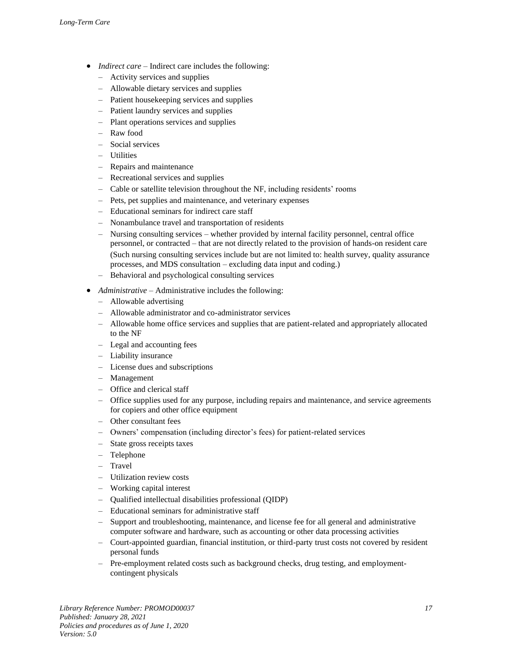- *Indirect care –* Indirect care includes the following:
	- Activity services and supplies
	- Allowable dietary services and supplies
	- Patient housekeeping services and supplies
	- Patient laundry services and supplies
	- Plant operations services and supplies
	- Raw food
	- Social services
	- Utilities
	- Repairs and maintenance
	- Recreational services and supplies
	- Cable or satellite television throughout the NF, including residents' rooms
	- Pets, pet supplies and maintenance, and veterinary expenses
	- Educational seminars for indirect care staff
	- Nonambulance travel and transportation of residents
	- Nursing consulting services whether provided by internal facility personnel, central office personnel, or contracted – that are not directly related to the provision of hands-on resident care (Such nursing consulting services include but are not limited to: health survey, quality assurance processes, and MDS consultation – excluding data input and coding.)
	- Behavioral and psychological consulting services
- *Administrative –* Administrative includes the following:
	- Allowable advertising
	- Allowable administrator and co-administrator services
	- Allowable home office services and supplies that are patient-related and appropriately allocated to the NF
	- Legal and accounting fees
	- Liability insurance
	- License dues and subscriptions
	- Management
	- Office and clerical staff
	- Office supplies used for any purpose, including repairs and maintenance, and service agreements for copiers and other office equipment
	- Other consultant fees
	- Owners' compensation (including director's fees) for patient-related services
	- State gross receipts taxes
	- Telephone
	- **Travel**
	- Utilization review costs
	- Working capital interest
	- Qualified intellectual disabilities professional (QIDP)
	- Educational seminars for administrative staff
	- Support and troubleshooting, maintenance, and license fee for all general and administrative computer software and hardware, such as accounting or other data processing activities
	- Court-appointed guardian, financial institution, or third-party trust costs not covered by resident personal funds
	- Pre-employment related costs such as background checks, drug testing, and employmentcontingent physicals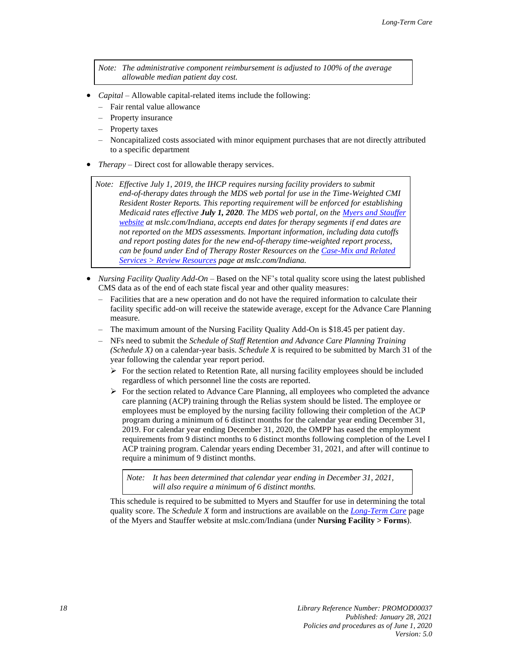*Note: The administrative component reimbursement is adjusted to 100% of the average allowable median patient day cost.* 

- *Capital* Allowable capital-related items include the following:
	- Fair rental value allowance
	- Property insurance
	- Property taxes
	- Noncapitalized costs associated with minor equipment purchases that are not directly attributed to a specific department
- *Therapy*  Direct cost for allowable therapy services.

*Note: Effective July 1, 2019, the IHCP requires nursing facility providers to submit end-of-therapy dates through the MDS web portal for use in the Time-Weighted CMI Resident Roster Reports. This reporting requirement will be enforced for establishing Medicaid rates effective July 1, 2020. The MDS web portal, on th[e Myers and](https://www.mslc.com/Indiana/) Stauffer [website](https://www.mslc.com/Indiana/) at mslc.com/Indiana, accepts end dates for therapy segments if end dates are not reported on the MDS assessments. Important information, including data cutoffs and report posting dates for the new end-of-therapy time-weighted report process, can be found under End of Therapy Roster Resources on the [Case-Mix and Related](https://www.mslc.com/Indiana/Resources.aspx)  [Services > Review Resources](https://www.mslc.com/Indiana/Resources.aspx) page at mslc.com/Indiana.*

- *Nursing Facility Quality Add-On* Based on the NF's total quality score using the latest published CMS data as of the end of each state fiscal year and other quality measures:
	- Facilities that are a new operation and do not have the required information to calculate their facility specific add-on will receive the statewide average, except for the Advance Care Planning measure.
	- The maximum amount of the Nursing Facility Quality Add-On is \$18.45 per patient day.
	- NFs need to submit the *Schedule of Staff Retention and Advance Care Planning Training (Schedule X)* on a calendar-year basis. *Schedule X* is required to be submitted by March 31 of the year following the calendar year report period.
		- $\triangleright$  For the section related to Retention Rate, all nursing facility employees should be included regardless of which personnel line the costs are reported.
		- ➢ For the section related to Advance Care Planning, all employees who completed the advance care planning (ACP) training through the Relias system should be listed. The employee or employees must be employed by the nursing facility following their completion of the ACP program during a minimum of 6 distinct months for the calendar year ending December 31, 2019. For calendar year ending December 31, 2020, the OMPP has eased the employment requirements from 9 distinct months to 6 distinct months following completion of the Level I ACP training program. Calendar years ending December 31, 2021, and after will continue to require a minimum of 9 distinct months.

*Note: It has been determined that calendar year ending in December 31, 2021, will also require a minimum of 6 distinct months.*

This schedule is required to be submitted to Myers and Stauffer for use in determining the total quality score. The *Schedule X* form and instructions are available on the *[Long-Term Care](https://www.mslc.com/indiana/resources/documents.aspx)* page of the Myers and Stauffer website at mslc.com/Indiana (under **Nursing Facility > Forms**).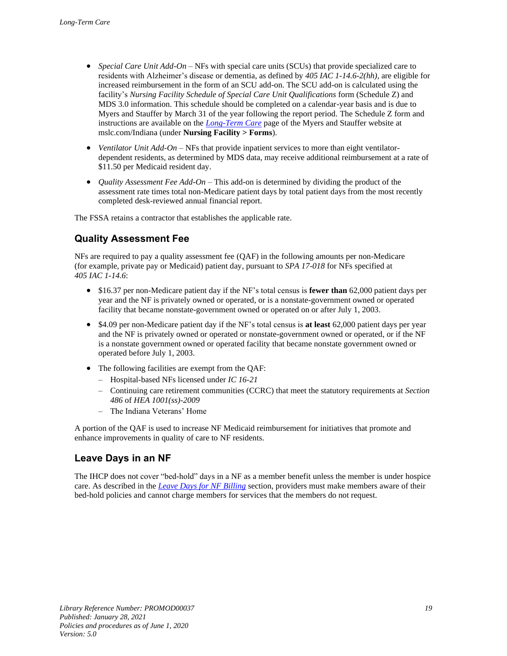- *Special Care Unit Add-On* NFs with special care units (SCUs) that provide specialized care to residents with Alzheimer's disease or dementia, as defined by *405 IAC 1-14.6-2(hh),* are eligible for increased reimbursement in the form of an SCU add-on. The SCU add-on is calculated using the facility's *Nursing Facility Schedule of Special Care Unit Qualifications* form (Schedule Z) and MDS 3.0 information. This schedule should be completed on a calendar-year basis and is due to Myers and Stauffer by March 31 of the year following the report period. The Schedule Z form and instructions are available on the *[Long-Term Care](http://www.mslc.com/indiana/resources/documents.aspx)* page of the Myers and Stauffer website at mslc.com/Indiana (under **Nursing Facility > Forms**).
- *Ventilator Unit Add-On* NFs that provide inpatient services to more than eight ventilatordependent residents, as determined by MDS data, may receive additional reimbursement at a rate of \$11.50 per Medicaid resident day.
- *Quality Assessment Fee Add-On* This add-on is determined by dividing the product of the assessment rate times total non-Medicare patient days by total patient days from the most recently completed desk-reviewed annual financial report.

The FSSA retains a contractor that establishes the applicable rate.

### **Quality Assessment Fee**

NFs are required to pay a quality assessment fee (QAF) in the following amounts per non-Medicare (for example, private pay or Medicaid) patient day, pursuant to *SPA 17-018* for NFs specified at *405 IAC 1-14.6*:

- \$16.37 per non-Medicare patient day if the NF's total census is **fewer than** 62,000 patient days per year and the NF is privately owned or operated, or is a nonstate-government owned or operated facility that became nonstate-government owned or operated on or after July 1, 2003.
- \$4.09 per non-Medicare patient day if the NF's total census is **at least** 62,000 patient days per year and the NF is privately owned or operated or nonstate-government owned or operated, or if the NF is a nonstate government owned or operated facility that became nonstate government owned or operated before July 1, 2003.
- The following facilities are exempt from the QAF:
	- Hospital-based NFs licensed under *IC 16-21*
	- Continuing care retirement communities (CCRC) that meet the statutory requirements at *Section 486* of *HEA 1001(ss)-2009*
	- The Indiana Veterans' Home

A portion of the QAF is used to increase NF Medicaid reimbursement for initiatives that promote and enhance improvements in quality of care to NF residents.

#### **Leave Days in an NF**

The IHCP does not cover "bed-hold" days in a NF as a member benefit unless the member is under hospice care. As described in the *[Leave Days for NF Billing](#page-27-2)* section, providers must make members aware of their bed-hold policies and cannot charge members for services that the members do not request.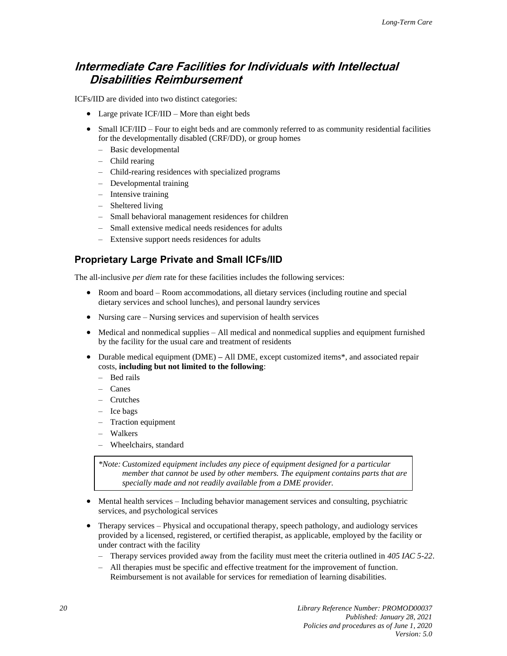### <span id="page-25-1"></span>**Intermediate Care Facilities for Individuals with Intellectual Disabilities Reimbursement**

ICFs/IID are divided into two distinct categories:

- Large private ICF/IID More than eight beds
- Small ICF/IID Four to eight beds and are commonly referred to as community residential facilities for the developmentally disabled (CRF/DD), or group homes
	- Basic developmental
	- Child rearing
	- Child-rearing residences with specialized programs
	- Developmental training
	- Intensive training
	- Sheltered living
	- Small behavioral management residences for children
	- Small extensive medical needs residences for adults
	- Extensive support needs residences for adults

#### <span id="page-25-0"></span>**Proprietary Large Private and Small ICFs/IID**

The all-inclusive *per diem* rate for these facilities includes the following services:

- Room and board Room accommodations, all dietary services (including routine and special dietary services and school lunches), and personal laundry services
- Nursing care Nursing services and supervision of health services
- Medical and nonmedical supplies All medical and nonmedical supplies and equipment furnished by the facility for the usual care and treatment of residents
- Durable medical equipment (DME) **–** All DME, except customized items\*, and associated repair costs, **including but not limited to the following**:
	- Bed rails
	- Canes
	- Crutches
	- Ice bags
	- Traction equipment
	- Walkers
	- Wheelchairs, standard

*\*Note:Customized equipment includes any piece of equipment designed for a particular member that cannot be used by other members. The equipment contains parts that are specially made and not readily available from a DME provider.*

- Mental health services Including behavior management services and consulting, psychiatric services, and psychological services
- Therapy services Physical and occupational therapy, speech pathology, and audiology services provided by a licensed, registered, or certified therapist, as applicable, employed by the facility or under contract with the facility
	- Therapy services provided away from the facility must meet the criteria outlined in *405 IAC 5-22*.
	- All therapies must be specific and effective treatment for the improvement of function. Reimbursement is not available for services for remediation of learning disabilities.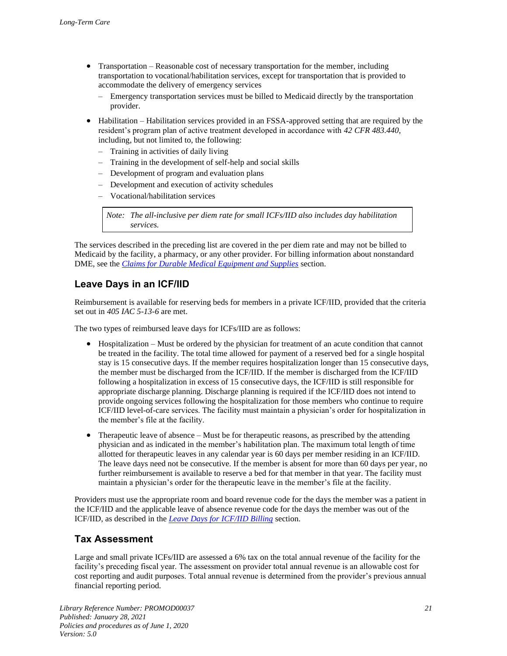- Transportation Reasonable cost of necessary transportation for the member, including transportation to vocational/habilitation services, except for transportation that is provided to accommodate the delivery of emergency services
	- Emergency transportation services must be billed to Medicaid directly by the transportation provider.
- Habilitation Habilitation services provided in an FSSA-approved setting that are required by the resident's program plan of active treatment developed in accordance with *42 CFR 483.440*, including, but not limited to, the following:
	- Training in activities of daily living
	- Training in the development of self-help and social skills
	- Development of program and evaluation plans
	- Development and execution of activity schedules
	- Vocational/habilitation services

*Note: The all-inclusive per diem rate for small ICFs/IID also includes day habilitation services.*

The services described in the preceding list are covered in the per diem rate and may not be billed to Medicaid by the facility, a pharmacy, or any other provider. For billing information about nonstandard DME, see the *[Claims for Durable Medical Equipment and Supplies](#page-30-0)* section.

#### **Leave Days in an ICF/IID**

Reimbursement is available for reserving beds for members in a private ICF/IID, provided that the criteria set out in *405 IAC 5-13-6* are met.

The two types of reimbursed leave days for ICFs/IID are as follows:

- Hospitalization Must be ordered by the physician for treatment of an acute condition that cannot be treated in the facility. The total time allowed for payment of a reserved bed for a single hospital stay is 15 consecutive days. If the member requires hospitalization longer than 15 consecutive days, the member must be discharged from the ICF/IID. If the member is discharged from the ICF/IID following a hospitalization in excess of 15 consecutive days, the ICF/IID is still responsible for appropriate discharge planning. Discharge planning is required if the ICF/IID does not intend to provide ongoing services following the hospitalization for those members who continue to require ICF/IID level-of-care services. The facility must maintain a physician's order for hospitalization in the member's file at the facility.
- Therapeutic leave of absence Must be for therapeutic reasons, as prescribed by the attending physician and as indicated in the member's habilitation plan. The maximum total length of time allotted for therapeutic leaves in any calendar year is 60 days per member residing in an ICF/IID. The leave days need not be consecutive. If the member is absent for more than 60 days per year, no further reimbursement is available to reserve a bed for that member in that year. The facility must maintain a physician's order for the therapeutic leave in the member's file at the facility.

Providers must use the appropriate room and board revenue code for the days the member was a patient in the ICF/IID and the applicable leave of absence revenue code for the days the member was out of the ICF/IID, as described in the *[Leave Days for ICF/IID Billing](#page-28-1)* section.

#### **Tax Assessment**

Large and small private ICFs/IID are assessed a 6% tax on the total annual revenue of the facility for the facility's preceding fiscal year. The assessment on provider total annual revenue is an allowable cost for cost reporting and audit purposes. Total annual revenue is determined from the provider's previous annual financial reporting period.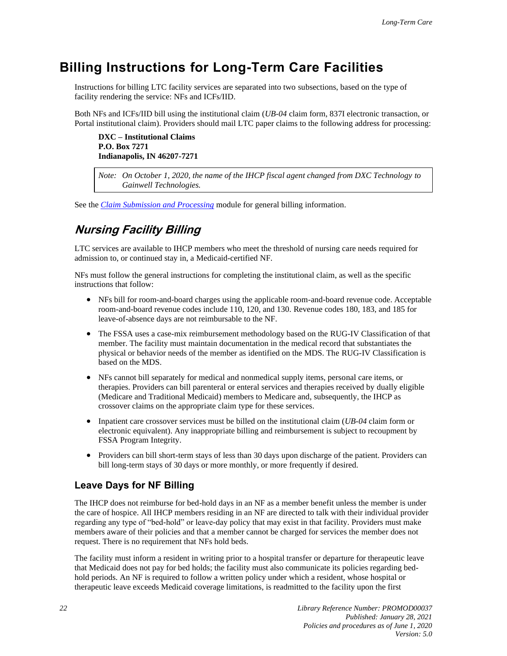## <span id="page-27-0"></span>**Billing Instructions for Long-Term Care Facilities**

Instructions for billing LTC facility services are separated into two subsections, based on the type of facility rendering the service: NFs and ICFs/IID.

Both NFs and ICFs/IID bill using the institutional claim (*UB-04* claim form, 837I electronic transaction, or Portal institutional claim). Providers should mail LTC paper claims to the following address for processing:

**DXC – Institutional Claims P.O. Box 7271 Indianapolis, IN 46207-7271**

*Note: On October 1, 2020, the name of the IHCP fiscal agent changed from DXC Technology to Gainwell Technologies.*

<span id="page-27-1"></span>See the *[Claim Submission and Processing](https://www.in.gov/medicaid/files/claim%20submission%20and%20processing.pdf)* module for general billing information.

## **Nursing Facility Billing**

LTC services are available to IHCP members who meet the threshold of nursing care needs required for admission to, or continued stay in, a Medicaid-certified NF.

NFs must follow the general instructions for completing the institutional claim, as well as the specific instructions that follow:

- NFs bill for room-and-board charges using the applicable room-and-board revenue code. Acceptable room-and-board revenue codes include 110, 120, and 130. Revenue codes 180, 183, and 185 for leave-of-absence days are not reimbursable to the NF.
- The FSSA uses a case-mix reimbursement methodology based on the RUG-IV Classification of that member. The facility must maintain documentation in the medical record that substantiates the physical or behavior needs of the member as identified on the MDS. The RUG-IV Classification is based on the MDS.
- NFs cannot bill separately for medical and nonmedical supply items, personal care items, or therapies. Providers can bill parenteral or enteral services and therapies received by dually eligible (Medicare and Traditional Medicaid) members to Medicare and, subsequently, the IHCP as crossover claims on the appropriate claim type for these services.
- Inpatient care crossover services must be billed on the institutional claim (*UB-04* claim form or electronic equivalent). Any inappropriate billing and reimbursement is subject to recoupment by FSSA Program Integrity.
- Providers can bill short-term stays of less than 30 days upon discharge of the patient. Providers can bill long-term stays of 30 days or more monthly, or more frequently if desired.

#### <span id="page-27-2"></span>**Leave Days for NF Billing**

The IHCP does not reimburse for bed-hold days in an NF as a member benefit unless the member is under the care of hospice. All IHCP members residing in an NF are directed to talk with their individual provider regarding any type of "bed-hold" or leave-day policy that may exist in that facility. Providers must make members aware of their policies and that a member cannot be charged for services the member does not request. There is no requirement that NFs hold beds.

The facility must inform a resident in writing prior to a hospital transfer or departure for therapeutic leave that Medicaid does not pay for bed holds; the facility must also communicate its policies regarding bedhold periods. An NF is required to follow a written policy under which a resident, whose hospital or therapeutic leave exceeds Medicaid coverage limitations, is readmitted to the facility upon the first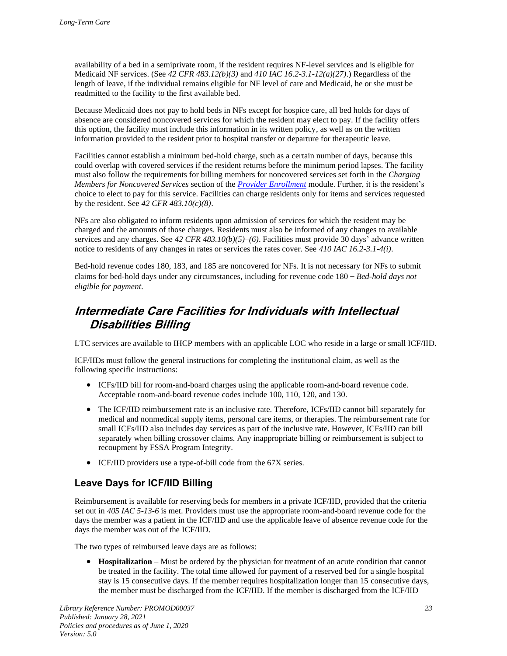availability of a bed in a semiprivate room, if the resident requires NF-level services and is eligible for Medicaid NF services. (See *42 CFR 483.12(b)(3)* and *410 IAC 16.2-3.1-12(a)(27)*.) Regardless of the length of leave, if the individual remains eligible for NF level of care and Medicaid, he or she must be readmitted to the facility to the first available bed.

Because Medicaid does not pay to hold beds in NFs except for hospice care, all bed holds for days of absence are considered noncovered services for which the resident may elect to pay. If the facility offers this option, the facility must include this information in its written policy, as well as on the written information provided to the resident prior to hospital transfer or departure for therapeutic leave.

Facilities cannot establish a minimum bed-hold charge, such as a certain number of days, because this could overlap with covered services if the resident returns before the minimum period lapses. The facility must also follow the requirements for billing members for noncovered services set forth in the *Charging Members for Noncovered Services* section of the *[Provider Enrollment](https://www.in.gov/medicaid/files/provider%20enrollment.pdf)* module. Further, it is the resident's choice to elect to pay for this service. Facilities can charge residents only for items and services requested by the resident. See *42 CFR 483.10(c)(8)*.

NFs are also obligated to inform residents upon admission of services for which the resident may be charged and the amounts of those charges. Residents must also be informed of any changes to available services and any charges. See *42 CFR 483.10(b)(5)–(6)*. Facilities must provide 30 days' advance written notice to residents of any changes in rates or services the rates cover. See *410 IAC 16.2-3.1-4(i)*.

Bed-hold revenue codes 180, 183, and 185 are noncovered for NFs. It is not necessary for NFs to submit claims for bed-hold days under any circumstances, including for revenue code 180 – *Bed-hold days not eligible for payment*.

## <span id="page-28-0"></span>**Intermediate Care Facilities for Individuals with Intellectual Disabilities Billing**

LTC services are available to IHCP members with an applicable LOC who reside in a large or small ICF/IID.

ICF/IIDs must follow the general instructions for completing the institutional claim, as well as the following specific instructions:

- ICFs/IID bill for room-and-board charges using the applicable room-and-board revenue code. Acceptable room-and-board revenue codes include 100, 110, 120, and 130.
- The ICF/IID reimbursement rate is an inclusive rate. Therefore, ICFs/IID cannot bill separately for medical and nonmedical supply items, personal care items, or therapies. The reimbursement rate for small ICFs/IID also includes day services as part of the inclusive rate. However, ICFs/IID can bill separately when billing crossover claims. Any inappropriate billing or reimbursement is subject to recoupment by FSSA Program Integrity.
- ICF/IID providers use a type-of-bill code from the 67X series.

#### <span id="page-28-1"></span>**Leave Days for ICF/IID Billing**

Reimbursement is available for reserving beds for members in a private ICF/IID, provided that the criteria set out in *405 IAC 5-13-6* is met. Providers must use the appropriate room-and-board revenue code for the days the member was a patient in the ICF/IID and use the applicable leave of absence revenue code for the days the member was out of the ICF/IID.

The two types of reimbursed leave days are as follows:

• **Hospitalization** – Must be ordered by the physician for treatment of an acute condition that cannot be treated in the facility. The total time allowed for payment of a reserved bed for a single hospital stay is 15 consecutive days. If the member requires hospitalization longer than 15 consecutive days, the member must be discharged from the ICF/IID. If the member is discharged from the ICF/IID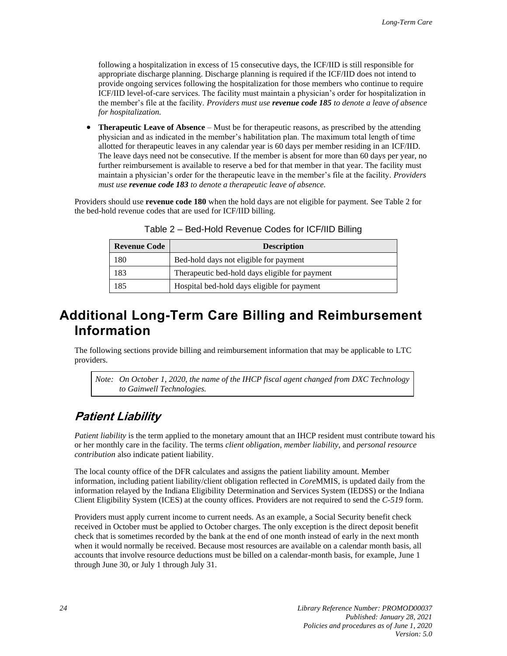following a hospitalization in excess of 15 consecutive days, the ICF/IID is still responsible for appropriate discharge planning. Discharge planning is required if the ICF/IID does not intend to provide ongoing services following the hospitalization for those members who continue to require ICF/IID level-of-care services. The facility must maintain a physician's order for hospitalization in the member's file at the facility. *Providers must use revenue code 185 to denote a leave of absence for hospitalization.*

• **Therapeutic Leave of Absence** – Must be for therapeutic reasons, as prescribed by the attending physician and as indicated in the member's habilitation plan. The maximum total length of time allotted for therapeutic leaves in any calendar year is 60 days per member residing in an ICF/IID. The leave days need not be consecutive. If the member is absent for more than 60 days per year, no further reimbursement is available to reserve a bed for that member in that year. The facility must maintain a physician's order for the therapeutic leave in the member's file at the facility*. Providers must use revenue code 183 to denote a therapeutic leave of absence.*

Providers should use **revenue code 180** when the hold days are not eligible for payment. See Table 2 for the bed-hold revenue codes that are used for ICF/IID billing.

| <b>Revenue Code</b> | <b>Description</b>                             |
|---------------------|------------------------------------------------|
| 180                 | Bed-hold days not eligible for payment         |
| 183                 | Therapeutic bed-hold days eligible for payment |
| 185                 | Hospital bed-hold days eligible for payment    |

Table 2 – Bed-Hold Revenue Codes for ICF/IID Billing

## <span id="page-29-1"></span>**Additional Long-Term Care Billing and Reimbursement Information**

The following sections provide billing and reimbursement information that may be applicable to LTC providers.

*Note: On October 1, 2020, the name of the IHCP fiscal agent changed from DXC Technology to Gainwell Technologies.*

## <span id="page-29-0"></span>**Patient Liability**

*Patient liability* is the term applied to the monetary amount that an IHCP resident must contribute toward his or her monthly care in the facility. The terms *client obligation*, *member liability*, and *personal resource contribution* also indicate patient liability.

The local county office of the DFR calculates and assigns the patient liability amount. Member information, including patient liability/client obligation reflected in *Core*MMIS, is updated daily from the information relayed by the Indiana Eligibility Determination and Services System (IEDSS) or the Indiana Client Eligibility System (ICES) at the county offices. Providers are not required to send the *C-519* form.

Providers must apply current income to current needs. As an example, a Social Security benefit check received in October must be applied to October charges. The only exception is the direct deposit benefit check that is sometimes recorded by the bank at the end of one month instead of early in the next month when it would normally be received. Because most resources are available on a calendar month basis, all accounts that involve resource deductions must be billed on a calendar-month basis, for example, June 1 through June 30, or July 1 through July 31.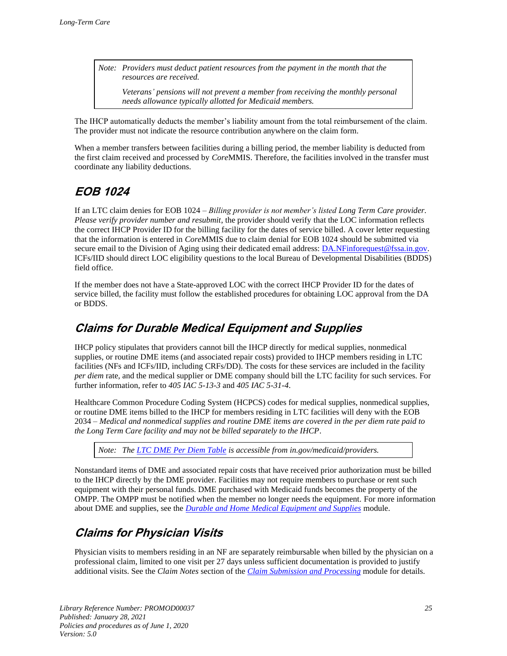*Note: Providers must deduct patient resources from the payment in the month that the resources are received.*

*Veterans' pensions will not prevent a member from receiving the monthly personal needs allowance typically allotted for Medicaid members.* 

The IHCP automatically deducts the member's liability amount from the total reimbursement of the claim. The provider must not indicate the resource contribution anywhere on the claim form.

When a member transfers between facilities during a billing period, the member liability is deducted from the first claim received and processed by *Core*MMIS. Therefore, the facilities involved in the transfer must coordinate any liability deductions.

## <span id="page-30-2"></span>**EOB 1024**

If an LTC claim denies for EOB 1024 – *Billing provider is not member's listed Long Term Care provider. Please verify provider number and resubmit*, the provider should verify that the LOC information reflects the correct IHCP Provider ID for the billing facility for the dates of service billed. A cover letter requesting that the information is entered in *Core*MMIS due to claim denial for EOB 1024 should be submitted via secure email to the Division of Aging using their dedicated email address: [DA.NFinforequest@fssa.in.gov.](mailto:DA.NFinforequest@fssa.in.gov) ICFs/IID should direct LOC eligibility questions to the local Bureau of Developmental Disabilities (BDDS) field office.

If the member does not have a State-approved LOC with the correct IHCP Provider ID for the dates of service billed, the facility must follow the established procedures for obtaining LOC approval from the DA or BDDS.

## <span id="page-30-0"></span>**Claims for Durable Medical Equipment and Supplies**

IHCP policy stipulates that providers cannot bill the IHCP directly for medical supplies, nonmedical supplies, or routine DME items (and associated repair costs) provided to IHCP members residing in LTC facilities (NFs and ICFs/IID, including CRFs/DD). The costs for these services are included in the facility *per diem* rate, and the medical supplier or DME company should bill the LTC facility for such services. For further information, refer to *405 IAC 5-13-3* and *405 IAC 5-31-4*.

Healthcare Common Procedure Coding System (HCPCS) codes for medical supplies, nonmedical supplies, or routine DME items billed to the IHCP for members residing in LTC facilities will deny with the EOB 2034 *– Medical and nonmedical supplies and routine DME items are covered in the per diem rate paid to the Long Term Care facility and may not be billed separately to the IHCP*.

*Note: The [LTC DME Per Diem Table](https://www.in.gov/medicaid/providers/671.htm) is accessible from in.gov/medicaid/providers.*

Nonstandard items of DME and associated repair costs that have received prior authorization must be billed to the IHCP directly by the DME provider. Facilities may not require members to purchase or rent such equipment with their personal funds. DME purchased with Medicaid funds becomes the property of the OMPP. The OMPP must be notified when the member no longer needs the equipment. For more information about DME and supplies, see the *[Durable and Home Medical Equipment and Supplies](https://www.in.gov/medicaid/files/durable%20and%20home%20medical%20equipment%20and%20supplies.pdf)* module.

## <span id="page-30-1"></span>**Claims for Physician Visits**

Physician visits to members residing in an NF are separately reimbursable when billed by the physician on a professional claim, limited to one visit per 27 days unless sufficient documentation is provided to justify additional visits. See the *Claim Notes* section of the *[Claim Submission and Processing](https://www.in.gov/medicaid/files/claim%20submission%20and%20processing.pdf)* module for details.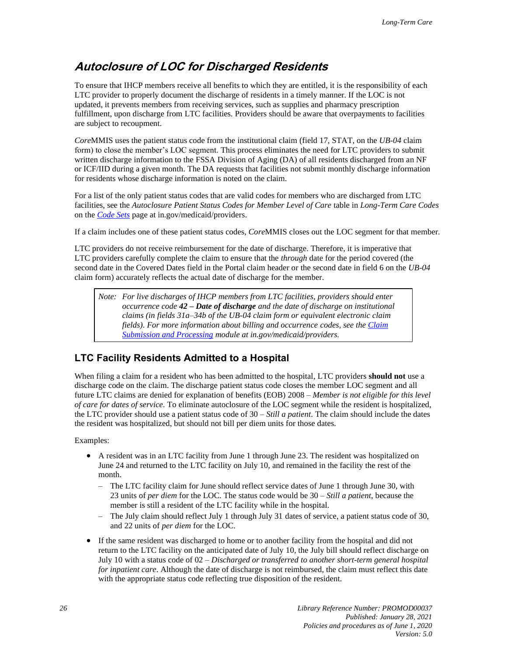### <span id="page-31-0"></span>**Autoclosure of LOC for Discharged Residents**

To ensure that IHCP members receive all benefits to which they are entitled, it is the responsibility of each LTC provider to properly document the discharge of residents in a timely manner. If the LOC is not updated, it prevents members from receiving services, such as supplies and pharmacy prescription fulfillment, upon discharge from LTC facilities. Providers should be aware that overpayments to facilities are subject to recoupment.

*Core*MMIS uses the patient status code from the institutional claim (field 17, STAT, on the *UB-04* claim form) to close the member's LOC segment. This process eliminates the need for LTC providers to submit written discharge information to the FSSA Division of Aging (DA) of all residents discharged from an NF or ICF/IID during a given month. The DA requests that facilities not submit monthly discharge information for residents whose discharge information is noted on the claim.

For a list of the only patient status codes that are valid codes for members who are discharged from LTC facilities, see the *Autoclosure Patient Status Codes for Member Level of Care* table in *Long-Term Care Codes*  on the *[Code Sets](https://www.in.gov/medicaid/providers/693.htm)* page at in.gov/medicaid/providers.

If a claim includes one of these patient status codes, *Core*MMIS closes out the LOC segment for that member.

LTC providers do not receive reimbursement for the date of discharge. Therefore, it is imperative that LTC providers carefully complete the claim to ensure that the *through* date for the period covered (the second date in the Covered Dates field in the Portal claim header or the second date in field 6 on the *UB-04* claim form) accurately reflects the actual date of discharge for the member.

*Note: For live discharges of IHCP members from LTC facilities, providers should enter occurrence code 42 – Date of discharge and the date of discharge on institutional claims (in fields 31a–34b of the UB-04 claim form or equivalent electronic claim fields). For more information about billing and occurrence codes, see th[e Claim](https://www.in.gov/medicaid/files/claim%20submission%20and%20processing.pdf)  [Submission and Processing](https://www.in.gov/medicaid/files/claim%20submission%20and%20processing.pdf) module at in.gov/medicaid/providers.*

#### **LTC Facility Residents Admitted to a Hospital**

When filing a claim for a resident who has been admitted to the hospital, LTC providers **should not** use a discharge code on the claim. The discharge patient status code closes the member LOC segment and all future LTC claims are denied for explanation of benefits (EOB) 2008 – *Member is not eligible for this level of care for dates of service*. To eliminate autoclosure of the LOC segment while the resident is hospitalized, the LTC provider should use a patient status code of 30 – *Still a patient*. The claim should include the dates the resident was hospitalized, but should not bill per diem units for those dates.

Examples:

- A resident was in an LTC facility from June 1 through June 23. The resident was hospitalized on June 24 and returned to the LTC facility on July 10, and remained in the facility the rest of the month.
	- The LTC facility claim for June should reflect service dates of June 1 through June 30, with 23 units of *per diem* for the LOC. The status code would be 30 – *Still a patient*, because the member is still a resident of the LTC facility while in the hospital.
	- The July claim should reflect July 1 through July 31 dates of service, a patient status code of 30, and 22 units of *per diem* for the LOC.
- If the same resident was discharged to home or to another facility from the hospital and did not return to the LTC facility on the anticipated date of July 10, the July bill should reflect discharge on July 10 with a status code of 02 – *Discharged or transferred to another short-term general hospital for inpatient care*. Although the date of discharge is not reimbursed, the claim must reflect this date with the appropriate status code reflecting true disposition of the resident.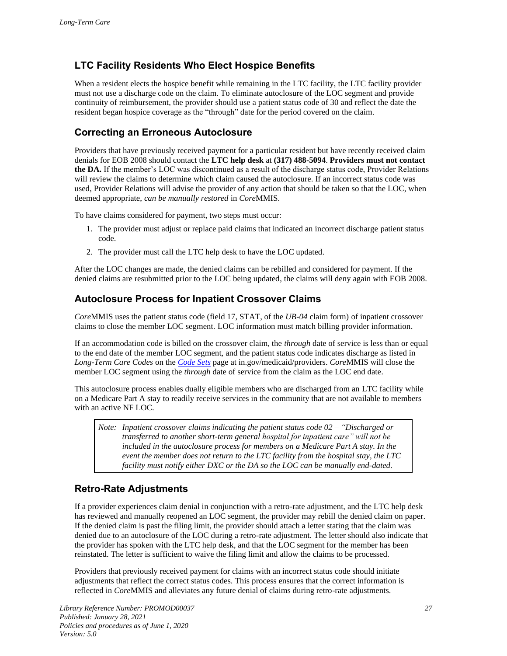### **LTC Facility Residents Who Elect Hospice Benefits**

When a resident elects the hospice benefit while remaining in the LTC facility, the LTC facility provider must not use a discharge code on the claim. To eliminate autoclosure of the LOC segment and provide continuity of reimbursement, the provider should use a patient status code of 30 and reflect the date the resident began hospice coverage as the "through" date for the period covered on the claim.

#### **Correcting an Erroneous Autoclosure**

Providers that have previously received payment for a particular resident but have recently received claim denials for EOB 2008 should contact the **LTC help desk** at **(317) 488-5094**. **Providers must not contact the DA.** If the member's LOC was discontinued as a result of the discharge status code, Provider Relations will review the claims to determine which claim caused the autoclosure. If an incorrect status code was used, Provider Relations will advise the provider of any action that should be taken so that the LOC, when deemed appropriate, *can be manually restored* in *Core*MMIS.

To have claims considered for payment, two steps must occur:

- 1. The provider must adjust or replace paid claims that indicated an incorrect discharge patient status code.
- 2. The provider must call the LTC help desk to have the LOC updated.

After the LOC changes are made, the denied claims can be rebilled and considered for payment. If the denied claims are resubmitted prior to the LOC being updated, the claims will deny again with EOB 2008.

#### **Autoclosure Process for Inpatient Crossover Claims**

*Core*MMIS uses the patient status code (field 17, STAT, of the *UB-04* claim form) of inpatient crossover claims to close the member LOC segment. LOC information must match billing provider information.

If an accommodation code is billed on the crossover claim, the *through* date of service is less than or equal to the end date of the member LOC segment, and the patient status code indicates discharge as listed in *Long-Term Care Codes* on the *[Code Sets](https://www.in.gov/medicaid/providers/693.htm)* page at in.gov/medicaid/providers. *Core*MMIS will close the member LOC segment using the *through* date of service from the claim as the LOC end date.

This autoclosure process enables dually eligible members who are discharged from an LTC facility while on a Medicare Part A stay to readily receive services in the community that are not available to members with an active NF LOC.

*Note: Inpatient crossover claims indicating the patient status code 02 – "Discharged or transferred to another short-term general hospital for inpatient care" will not be included in the autoclosure process for members on a Medicare Part A stay. In the event the member does not return to the LTC facility from the hospital stay, the LTC facility must notify either DXC or the DA so the LOC can be manually end-dated.*

#### **Retro-Rate Adjustments**

If a provider experiences claim denial in conjunction with a retro-rate adjustment, and the LTC help desk has reviewed and manually reopened an LOC segment, the provider may rebill the denied claim on paper. If the denied claim is past the filing limit, the provider should attach a letter stating that the claim was denied due to an autoclosure of the LOC during a retro-rate adjustment. The letter should also indicate that the provider has spoken with the LTC help desk, and that the LOC segment for the member has been reinstated. The letter is sufficient to waive the filing limit and allow the claims to be processed.

Providers that previously received payment for claims with an incorrect status code should initiate adjustments that reflect the correct status codes. This process ensures that the correct information is reflected in *Core*MMIS and alleviates any future denial of claims during retro-rate adjustments.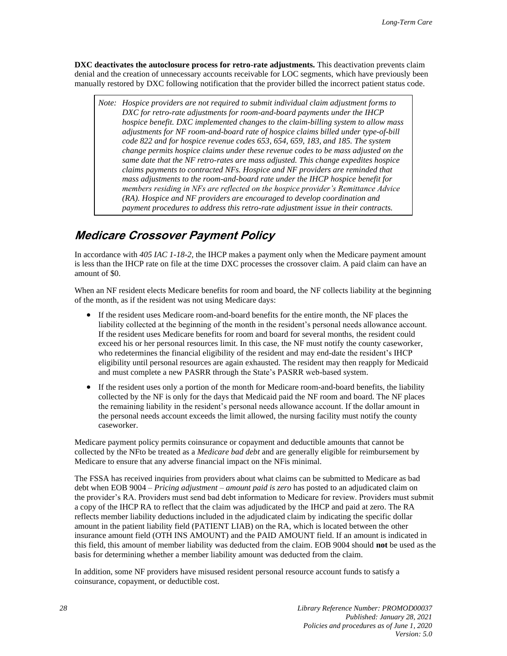**DXC deactivates the autoclosure process for retro-rate adjustments.** This deactivation prevents claim denial and the creation of unnecessary accounts receivable for LOC segments, which have previously been manually restored by DXC following notification that the provider billed the incorrect patient status code.

*Note: Hospice providers are not required to submit individual claim adjustment forms to DXC for retro-rate adjustments for room-and-board payments under the IHCP hospice benefit. DXC implemented changes to the claim-billing system to allow mass adjustments for NF room-and-board rate of hospice claims billed under type-of-bill code 822 and for hospice revenue codes 653, 654, 659, 183, and 185. The system change permits hospice claims under these revenue codes to be mass adjusted on the same date that the NF retro-rates are mass adjusted. This change expedites hospice claims payments to contracted NFs. Hospice and NF providers are reminded that mass adjustments to the room-and-board rate under the IHCP hospice benefit for members residing in NFs are reflected on the hospice provider's Remittance Advice (RA). Hospice and NF providers are encouraged to develop coordination and payment procedures to address this retro-rate adjustment issue in their contracts.*

### <span id="page-33-0"></span>**Medicare Crossover Payment Policy**

In accordance with *405 IAC 1-18-2,* the IHCP makes a payment only when the Medicare payment amount is less than the IHCP rate on file at the time DXC processes the crossover claim. A paid claim can have an amount of \$0.

When an NF resident elects Medicare benefits for room and board, the NF collects liability at the beginning of the month, as if the resident was not using Medicare days:

- If the resident uses Medicare room-and-board benefits for the entire month, the NF places the liability collected at the beginning of the month in the resident's personal needs allowance account. If the resident uses Medicare benefits for room and board for several months, the resident could exceed his or her personal resources limit. In this case, the NF must notify the county caseworker, who redetermines the financial eligibility of the resident and may end-date the resident's IHCP eligibility until personal resources are again exhausted. The resident may then reapply for Medicaid and must complete a new PASRR through the State's PASRR web-based system.
- If the resident uses only a portion of the month for Medicare room-and-board benefits, the liability collected by the NF is only for the days that Medicaid paid the NF room and board. The NF places the remaining liability in the resident's personal needs allowance account. If the dollar amount in the personal needs account exceeds the limit allowed, the nursing facility must notify the county caseworker.

Medicare payment policy permits coinsurance or copayment and deductible amounts that cannot be collected by the NFto be treated as a *Medicare bad debt* and are generally eligible for reimbursement by Medicare to ensure that any adverse financial impact on the NFis minimal.

The FSSA has received inquiries from providers about what claims can be submitted to Medicare as bad debt when EOB 9004 – *Pricing adjustment – amount paid is zero* has posted to an adjudicated claim on the provider's RA. Providers must send bad debt information to Medicare for review. Providers must submit a copy of the IHCP RA to reflect that the claim was adjudicated by the IHCP and paid at zero. The RA reflects member liability deductions included in the adjudicated claim by indicating the specific dollar amount in the patient liability field (PATIENT LIAB) on the RA, which is located between the other insurance amount field (OTH INS AMOUNT) and the PAID AMOUNT field. If an amount is indicated in this field, this amount of member liability was deducted from the claim. EOB 9004 should **not** be used as the basis for determining whether a member liability amount was deducted from the claim.

In addition, some NF providers have misused resident personal resource account funds to satisfy a coinsurance, copayment, or deductible cost.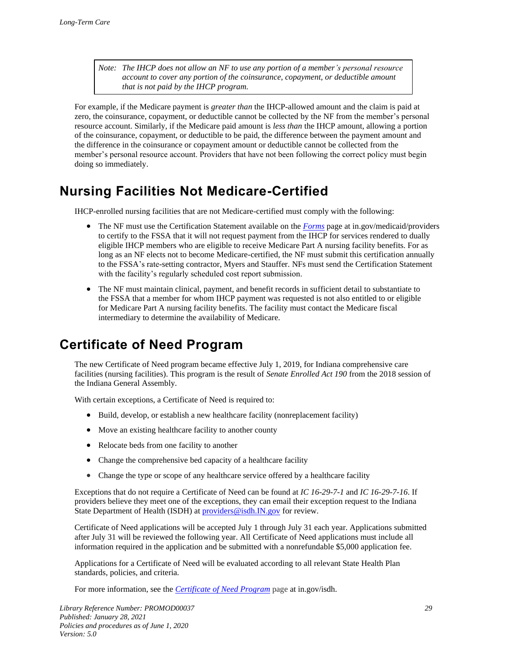*Note: The IHCP does not allow an NF to use any portion of a member's personal resource account to cover any portion of the coinsurance, copayment, or deductible amount that is not paid by the IHCP program.*

For example, if the Medicare payment is *greater than* the IHCP-allowed amount and the claim is paid at zero, the coinsurance, copayment, or deductible cannot be collected by the NF from the member's personal resource account. Similarly, if the Medicare paid amount is *less than* the IHCP amount, allowing a portion of the coinsurance, copayment, or deductible to be paid, the difference between the payment amount and the difference in the coinsurance or copayment amount or deductible cannot be collected from the member's personal resource account. Providers that have not been following the correct policy must begin doing so immediately.

## <span id="page-34-1"></span>**Nursing Facilities Not Medicare-Certified**

IHCP-enrolled nursing facilities that are not Medicare-certified must comply with the following:

- The NF must use the Certification Statement available on the *[Forms](https://www.in.gov/medicaid/providers/470.htm)* page at in.gov/medicaid/providers to certify to the FSSA that it will not request payment from the IHCP for services rendered to dually eligible IHCP members who are eligible to receive Medicare Part A nursing facility benefits. For as long as an NF elects not to become Medicare-certified, the NF must submit this certification annually to the FSSA's rate-setting contractor, Myers and Stauffer. NFs must send the Certification Statement with the facility's regularly scheduled cost report submission.
- The NF must maintain clinical, payment, and benefit records in sufficient detail to substantiate to the FSSA that a member for whom IHCP payment was requested is not also entitled to or eligible for Medicare Part A nursing facility benefits. The facility must contact the Medicare fiscal intermediary to determine the availability of Medicare.

## <span id="page-34-0"></span>**Certificate of Need Program**

The new Certificate of Need program became effective July 1, 2019, for Indiana comprehensive care facilities (nursing facilities). This program is the result of *Senate Enrolled Act 190* from the 2018 session of the Indiana General Assembly.

With certain exceptions, a Certificate of Need is required to:

- Build, develop, or establish a new healthcare facility (nonreplacement facility)
- Move an existing healthcare facility to another county
- Relocate beds from one facility to another
- Change the comprehensive bed capacity of a healthcare facility
- Change the type or scope of any healthcare service offered by a healthcare facility

Exceptions that do not require a Certificate of Need can be found at *IC 16-29-7-1* and *IC 16-29-7-16*. If providers believe they meet one of the exceptions, they can email their exception request to the Indiana State Department of Health (ISDH) at *providers@isdh.IN.gov* for review.

Certificate of Need applications will be accepted July 1 through July 31 each year. Applications submitted after July 31 will be reviewed the following year. All Certificate of Need applications must include all information required in the application and be submitted with a nonrefundable \$5,000 application fee.

Applications for a Certificate of Need will be evaluated according to all relevant State Health Plan standards, policies, and criteria.

For more information, see the *Certificate of [Need Program](https://www.in.gov/isdh/28280.htm)* page at in.gov/isdh.